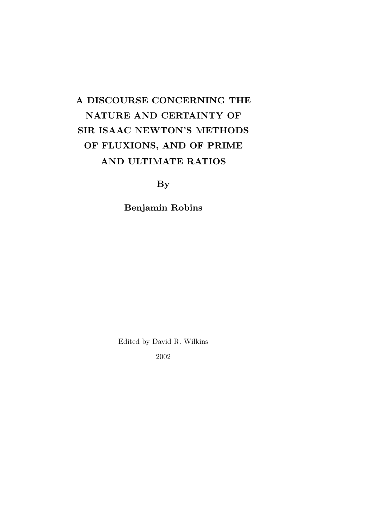# A DISCOURSE CONCERNING THE NATURE AND CERTAINTY OF SIR ISAAC NEWTON'S METHODS OF FLUXIONS, AND OF PRIME AND ULTIMATE RATIOS

**By** 

Benjamin Robins

Edited by David R. Wilkins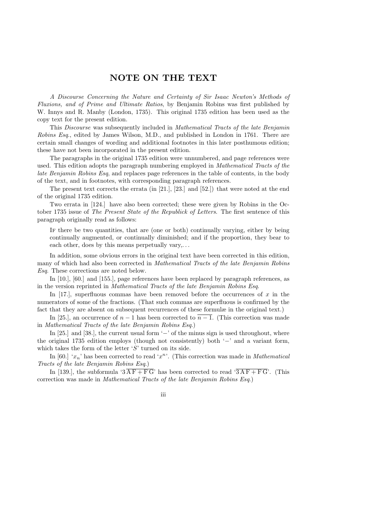### NOTE ON THE TEXT

A Discourse Concerning the Nature and Certainty of Sir Isaac Newton's Methods of Fluxions, and of Prime and Ultimate Ratios, by Benjamin Robins was first published by W. Innys and R. Manby (London, 1735). This original 1735 edition has been used as the copy text for the present edition.

This Discourse was subsequently included in Mathematical Tracts of the late Benjamin Robins Esq., edited by James Wilson, M.D., and published in London in 1761. There are certain small changes of wording and additional footnotes in this later posthumous edition; these have not been incorporated in the present edition.

The paragraphs in the original 1735 edition were unnumbered, and page references were used. This edition adopts the paragraph numbering employed in Mathematical Tracts of the late Benjamin Robins Esq, and replaces page references in the table of contents, in the body of the text, and in footnotes, with corresponding paragraph references.

The present text corrects the errata (in [21.], [23.] and [52.]) that were noted at the end of the original 1735 edition.

Two errata in [124.] have also been corrected; these were given by Robins in the October 1735 issue of The Present State of the Republick of Letters. The first sentence of this paragraph originally read as follows:

If there be two quantities, that are (one or both) continually varying, either by being continually augmented, or continually diminished; and if the proportion, they bear to each other, does by this means perpetually vary,...

In addition, some obvious errors in the original text have been corrected in this edition, many of which had also been corrected in *Mathematical Tracts of the late Benjamin Robins* Esq. These corrections are noted below.

In [10.], [60.] and [155.], page references have been replaced by paragraph references, as in the version reprinted in Mathematical Tracts of the late Benjamin Robins Esq.

In [17.], superfluous commas have been removed before the occurrences of  $x$  in the numerators of some of the fractions. (That such commas are superfluous is confirmed by the fact that they are absent on subsequent recurrences of these formulæ in the original text.)

In [25.], an occurrence of  $n-1$  has been corrected to  $\overline{n-1}$ . (This correction was made in Mathematical Tracts of the late Benjamin Robins Esq.)

In [25.] and [38.], the current usual form  $\left\langle -\right\rangle$  of the minus sign is used throughout, where the original 1735 edition employs (though not consistently) both '−' and a variant form, which takes the form of the letter  $'S'$  turned on its side.

In [60.] ' $x_n$ ' has been corrected to read ' $x^n$ '. (This correction was made in *Mathematical* Tracts of the late Benjamin Robins Esq.)

In [139.], the subformula ' $3\overline{AF + FG}$ ' has been corrected to read ' $3\overline{AF + FG}$ '. (This correction was made in Mathematical Tracts of the late Benjamin Robins Esq.)

iii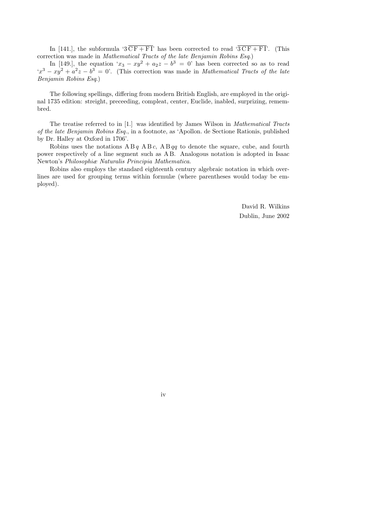In [141.], the subformula '3  $\overline{CF + FI}$ ' has been corrected to read ' $3\overline{CF + FI}$ '. (This correction was made in Mathematical Tracts of the late Benjamin Robins Esq.)

In [149.], the equation ' $x_3 - xy^2 + a_2z - b^3 = 0$ ' has been corrected so as to read  $(x^3 - xy^2 + a^2z - b^3 = 0)$ . (This correction was made in *Mathematical Tracts of the late* Benjamin Robins Esq.)

The following spellings, differing from modern British English, are employed in the original 1735 edition: streight, preceeding, compleat, center, Euclide, inabled, surprizing, remembred.

The treatise referred to in [1.] was identified by James Wilson in Mathematical Tracts of the late Benjamin Robins Esq., in a footnote, as 'Apollon. de Sectione Rationis, published by Dr. Halley at Oxford in 1706'.

Robins uses the notations  $AB q AB c$ ,  $AB qq$  to denote the square, cube, and fourth power respectively of a line segment such as A B. Analogous notation is adopted in Isaac Newton's Philosophiæ Naturalis Principia Mathematica.

Robins also employs the standard eighteenth century algebraic notation in which overlines are used for grouping terms within formulæ (where parentheses would today be employed).

> David R. Wilkins Dublin, June 2002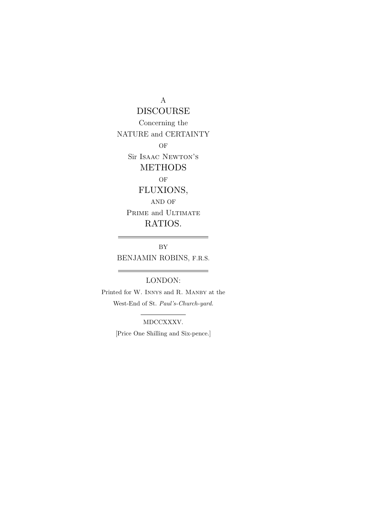A

DISCOURSE Concerning the NATURE and CERTAINTY OF Sir Isaac Newton's METHODS OF FLUXIONS, AND OF PRIME and ULTIMATE RATIOS.

BY BENJAMIN ROBINS, F.R.S.

LONDON:

 $\overline{a}$ 

Printed for W. Innys and R. Manby at the West-End of St. Paul's-Church-yard.

> MDCCXXXV. [Price One Shilling and Six-pence.]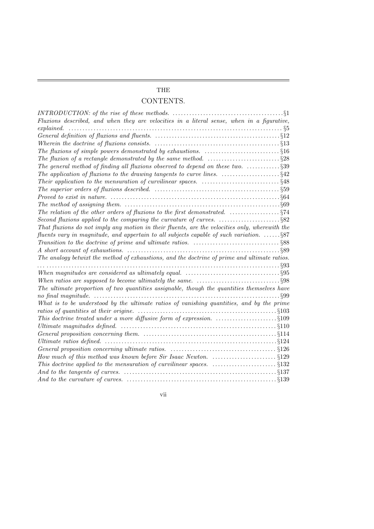### THE

## CONTENTS.

| INTRODUCTION: of the rise of these methods. $\ldots \ldots \ldots \ldots \ldots \ldots \ldots \ldots \ldots \ldots \ldots \ldots$ |  |
|-----------------------------------------------------------------------------------------------------------------------------------|--|
| Fluxions described, and when they are velocities in a literal sense, when in a figurative,                                        |  |
| explained.                                                                                                                        |  |
|                                                                                                                                   |  |
|                                                                                                                                   |  |
| The fluxions of simple powers demonstrated by exhaustions. $\ldots$ . $\ldots$ . $\ddots$ . $\ddot{\S}16$                         |  |
|                                                                                                                                   |  |
| The general method of finding all fluxions observed to depend on these two. $\dots\dots\dots\dots\dots\dots$                      |  |
| The application of fluxions to the drawing tangents to curve lines. $\ldots$ . $\dots$ . $\S42$                                   |  |
|                                                                                                                                   |  |
|                                                                                                                                   |  |
|                                                                                                                                   |  |
|                                                                                                                                   |  |
|                                                                                                                                   |  |
| Second fluxions applied to the comparing the curvature of curves. $\ldots$ . $\S 82$                                              |  |
| That fluxions do not imply any motion in their fluents, are the velocities only, wherewith the                                    |  |
| fluents vary in magnitude, and appertain to all subjects capable of such variation. $\ldots \ldots \$                             |  |
| Transition to the doctrine of prime and ultimate ratios. $\ldots$ . $\ldots$ . $\ldots$ . $\ldots$ . $\S 88$                      |  |
|                                                                                                                                   |  |
| The analogy betwixt the method of exhaustions, and the doctrine of prime and ultimate ratios.                                     |  |
|                                                                                                                                   |  |
|                                                                                                                                   |  |
|                                                                                                                                   |  |
| The ultimate proportion of two quantities assignable, though the quantities themselves have                                       |  |
|                                                                                                                                   |  |
| What is to be understood by the ultimate ratios of vanishing quantities, and by the prime                                         |  |
|                                                                                                                                   |  |
|                                                                                                                                   |  |
| Ultimate magnitudes defined. $\ldots \ldots \ldots \ldots \ldots \ldots \ldots \ldots \ldots \ldots \ldots \ldots \ldots \$       |  |
|                                                                                                                                   |  |
|                                                                                                                                   |  |
|                                                                                                                                   |  |
|                                                                                                                                   |  |
| This doctrine applied to the mensuration of curvilinear spaces. $\ldots$ . $\S132$                                                |  |
|                                                                                                                                   |  |
|                                                                                                                                   |  |
|                                                                                                                                   |  |

vii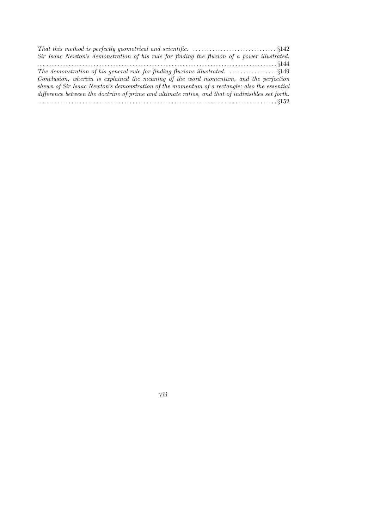| Sir Isaac Newton's demonstration of his rule for finding the fluxion of a power illustrated.      |  |
|---------------------------------------------------------------------------------------------------|--|
|                                                                                                   |  |
|                                                                                                   |  |
| Conclusion, wherein is explained the meaning of the word momentum, and the perfection             |  |
| shewn of Sir Isaac Newton's demonstration of the momentum of a rectangle; also the essential      |  |
| difference between the doctrine of prime and ultimate ratios, and that of indivisibles set forth. |  |
|                                                                                                   |  |

viii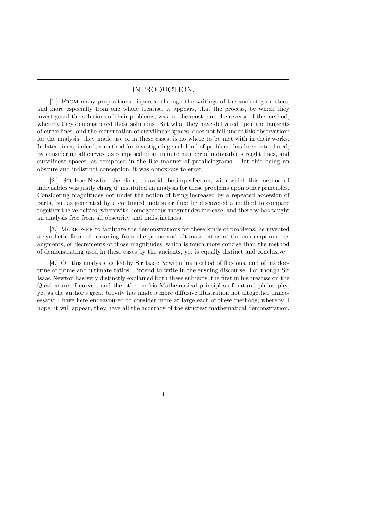#### INTRODUCTION.

[1.] From many propositions dispersed through the writings of the ancient geometers, and more especially from one whole treatise, it appears, that the process, by which they investigated the solutions of their problems, was for the most part the reverse of the method, whereby they demonstrated those solutions. But what they have delivered upon the tangents of curve lines, and the mensuration of curvilinear spaces, does not fall under this observation; for the analysis, they made use of in these cases, is no where to be met with in their works. In later times, indeed, a method for investigating such kind of problems has been introduced, by considering all curves, as composed of an infinite number of indivisible streight lines, and curvilinear spaces, as composed in the like manner of parallelograms. But this being an obscure and indistinct conception, it was obnoxious to error.

[2.] Sir Isac Newton therefore, to avoid the imperfection, with which this method of indivisibles was justly charg'd, instituted an analysis for these problems upon other principles. Considering magnitudes not under the notion of being increased by a repeated accession of parts, but as generated by a continued motion or flux; he discovered a method to compare together the velocities, wherewith homogeneous magnitudes increase, and thereby has taught an analysis free from all obscurity and indistinctness.

[3.] Moreover to facilitate the demonstrations for these kinds of problems, he invented a synthetic form of reasoning from the prime and ultimate ratios of the contemporaneous augments, or decrements of those magnitudes, which is much more concise than the method of demonstrating used in these cases by the ancients, yet is equally distinct and conclusive.

[4.] Of this analysis, called by Sir Isaac Newton his method of fluxions, and of his doctrine of prime and ultimate ratios, I intend to write in the ensuing discourse. For though Sir Isaac Newton has very distinctly explained both these subjects, the first in his treatise on the Quadrature of curves, and the other in his Mathematical principles of natural philosophy; yet as the author's great brevity has made a more diffusive illustration not altogether unnecessary; I have here endeavoured to consider more at large each of these methods; whereby, I hope, it will appear, they have all the accuracy of the strictest mathematical demonstration.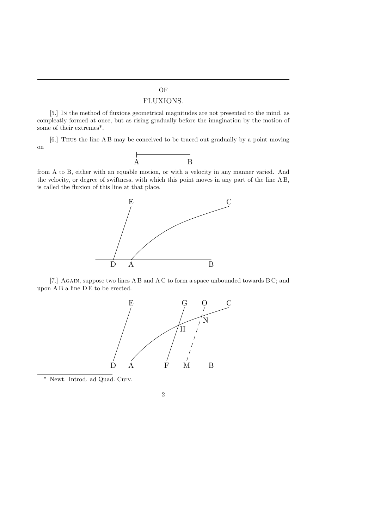## OF

### FLUXIONS.

[5.] In the method of fluxions geometrical magnitudes are not presented to the mind, as compleatly formed at once, but as rising gradually before the imagination by the motion of some of their extremes\*.

[6.] Thus the line A B may be conceived to be traced out gradually by a point moving on



from A to B, either with an equable motion, or with a velocity in any manner varied. And the velocity, or degree of swiftness, with which this point moves in any part of the line A B, is called the fluxion of this line at that place.



[7.] AGAIN, suppose two lines A B and A C to form a space unbounded towards B C; and upon A B a line D E to be erected.



\* Newt. Introd. ad Quad. Curv.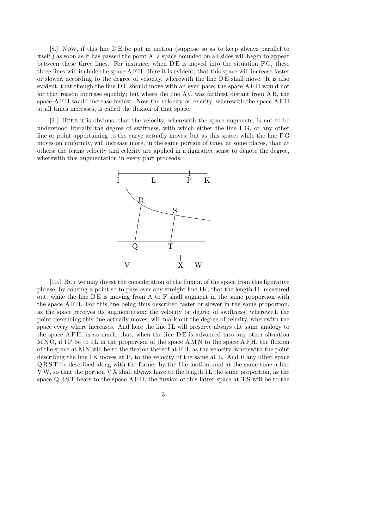[8.] Now, if this line D E be put in motion (suppose so as to keep always parallel to itself,) as soon as it has passed the point A, a space bounded on all sides will begin to appear between these three lines. For instance, when  $DE$  is moved into the situation  $FG$ , these three lines will include the space A F H. Here it is evident, that this space will increase faster or slower, according to the degree of velocity, wherewith the line D E shall move. It is also evident, that though the line D E should move with an even pace, the space A F H would not for that reason increase equably; but where the line A C was farthest distant from A B, the space A F H would increase fastest. Now the velocity or celerity, wherewith the space A F H at all times increases, is called the fluxion of that space.

[9.] Here it is obvious, that the velocity, wherewith the space augments, is not to be understood literally the degree of swiftness, with which either the line F G, or any other line or point appertaining to the curve actually moves; but as this space, while the line F G moves on uniformly, will increase more, in the same portion of time, at some places, than at others; the terms velocity and celerity are applied in a figurative sense to denote the degree, wherewith this augmentation in every part proceeds.



[10.] But we may divest the consideration of the fluxion of the space from this figurative phrase, by causing a point so to pass over any streight line I K, that the length I L measured out, while the line D E is moving from A to F shall augment in the same proportion with the space A F H. For this line being thus described faster or slower in the same proportion, as the space receives its augmentation; the velocity or degree of swiftness, wherewith the point describing this line actually moves, will mark out the degree of celerity, wherewith the space every where increases. And here the line IL will preserve always the same analogy to the space  $A F H$ , in so much, that, when the line  $D E$  is advanced into any other situation  $M N O$ , if IP be to IL in the proportion of the space  $A M N$  to the space  $A F H$ , the fluxion of the space at M N will be to the fluxion thereof at F H, as the velocity, wherewith the point describing the line  $IK$  moves at  $P$ , to the velocity of the same at  $L$ . And if any other space Q R S T be described along with the former by the like motion, and at the same time a line VW, so that the portion VX shall always have to the length IL the same proportion, as the space  $Q R S T$  bears to the space  $A F H$ ; the fluxion of this latter space at TS will be to the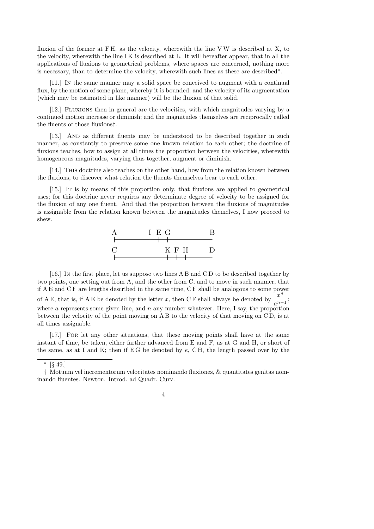fluxion of the former at FH, as the velocity, wherewith the line VW is described at X, to the velocity, wherewith the line IK is described at L. It will hereafter appear, that in all the applications of fluxions to geometrical problems, where spaces are concerned, nothing more is necessary, than to determine the velocity, wherewith such lines as these are described\*.

[11.] In the same manner may a solid space be conceived to augment with a continual flux, by the motion of some plane, whereby it is bounded; and the velocity of its augmentation (which may be estimated in like manner) will be the fluxion of that solid.

[12.] Fluxions then in general are the velocities, with which magnitudes varying by a continued motion increase or diminish; and the magnitudes themselves are reciprocally called the fluents of those fluxions†.

[13.] And as different fluents may be understood to be described together in such manner, as constantly to preserve some one known relation to each other; the doctrine of fluxions teaches, how to assign at all times the proportion between the velocities, wherewith homogeneous magnitudes, varying thus together, augment or diminish.

[14.] This doctrine also teaches on the other hand, how from the relation known between the fluxions, to discover what relation the fluents themselves bear to each other.

[15.] It is by means of this proportion only, that fluxions are applied to geometrical uses; for this doctrine never requires any determinate degree of velocity to be assigned for the fluxion of any one fluent. And that the proportion between the fluxions of magnitudes is assignable from the relation known between the magnitudes themelves, I now proceed to shew.



[16.] In the first place, let us suppose two lines A B and C D to be described together by two points, one setting out from A, and the other from C, and to move in such manner, that if A E and C F are lengths described in the same time, C F shall be analogous to some power of A E, that is, if A E be denoted by the letter x, then C F shall always be denoted by  $\frac{x^n}{x^n}$  $\frac{a^{n-1}}{a^{n-1}}$ where a represents some given line, and  $n$  any number whatever. Here, I say, the proportion between the velocity of the point moving on A B to the velocity of that moving on C D, is at all times assignable.

[17.] For let any other situations, that these moving points shall have at the same instant of time, be taken, either farther advanced from E and F, as at G and H, or short of the same, as at I and K; then if EG be denoted by  $e$ , CH, the length passed over by the

<sup>\*</sup>  $\S$  49.]

<sup>†</sup> Motuum vel incrementorum velocitates nominando fluxiones, & quantitates genitas nominando fluentes. Newton. Introd. ad Quadr. Curv.

<sup>4</sup>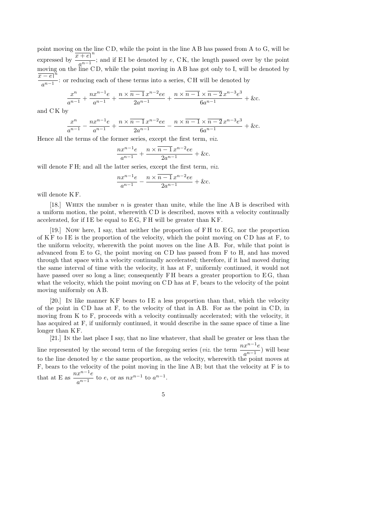point moving on the line C D, while the point in the line A B has passed from A to G, will be expressed by  $\frac{x+e}{x^2-1}$  $\frac{a^{n-1}}{a^{n-1}}$ ; and if EI be denoted by e, CK, the length passed over by the point moving on the line C D, while the point moving in A B has got only to I, will be denoted by  $\overline{x-e}$ <sup>n</sup>  $\frac{a^{n-1}}{a^{n-1}}$ : or reducing each of these terms into a series, CH will be denoted by

$$
\frac{x^n}{a^{n-1}} + \frac{nx^{n-1}e}{a^{n-1}} + \frac{n \times (n-1)x^{n-2}ee}{2a^{n-1}} + \frac{n \times (n-1) \times (n-2)x^{n-3}e^3}{6a^{n-1}} + \&c.
$$

and C K by

$$
\frac{x^n}{a^{n-1}} - \frac{nx^{n-1}e}{a^{n-1}} + \frac{n \times \overline{n-1} x^{n-2}ee}{2a^{n-1}} - \frac{n \times \overline{n-1} \times \overline{n-2} x^{n-3}e^3}{6a^{n-1}} + \&c.
$$

Hence all the terms of the former series, except the first term, viz.

$$
\frac{nx^{n-1}e}{a^{n-1}} + \frac{n \times \overline{n-1} x^{n-2}ee}{2a^{n-1}} + \&c.
$$

will denote FH; and all the latter series, except the first term, *viz.* 

$$
\frac{nx^{n-1}e}{a^{n-1}} - \frac{n \times \overline{n-1} x^{n-2}ee}{2a^{n-1}} + \&c.
$$

will denote KF.

[18.] WHEN the number  $n$  is greater than unite, while the line A B is described with a uniform motion, the point, wherewith C D is described, moves with a velocity continually accelerated, for if  $IE$  be equal to  $EG$ ,  $FH$  will be greater than  $KF$ .

[19.] Now here, I say, that neither the proportion of F H to E G, nor the proportion of  $KF$  to  $IE$  is the proportion of the velocity, which the point moving on  $CD$  has at  $F$ , to the uniform velocity, wherewith the point moves on the line A B. For, while that point is advanced from E to G, the point moving on C D has passed from F to H, and has moved through that space with a velocity continually accelerated; therefore, if it had moved during the same interval of time with the velocity, it has at F, uniformly continued, it would not have passed over so long a line; consequently FH bears a greater proportion to EG, than what the velocity, which the point moving on CD has at F, bears to the velocity of the point moving uniformly on A B.

[20.] In like manner  $KF$  bears to IE a less proportion than that, which the velocity of the point in C D has at F, to the velocity of that in A B. For as the point in C D, in moving from K to F, proceeds with a velocity continually accelerated; with the velocity, it has acquired at F, if uniformly continued, it would describe in the same space of time a line longer than KF.

[21.] In the last place I say, that no line whatever, that shall be greater or less than the line represented by the second term of the foregoing series (*viz.* the term  $\frac{nx^{n-1}e}{n-1}$  $\frac{a^{n}}{a^{n-1}}$ ) will bear to the line denoted by  $e$  the same proportion, as the velocity, wherewith the point moves at F, bears to the velocity of the point moving in the line A B; but that the velocity at F is to that at E as  $\frac{nx^{n-1}e}{n-1}$  $\frac{x^{n}}{a^{n-1}}$  to e, or as  $nx^{n-1}$  to  $a^{n-1}$ .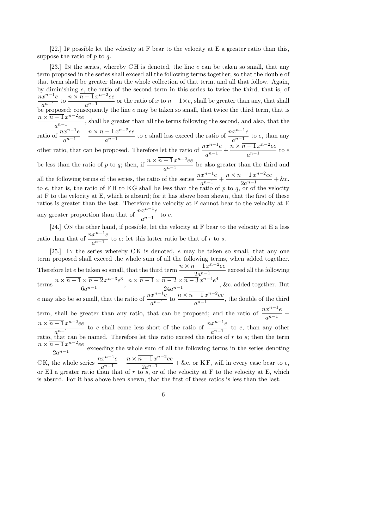[22.] If possible let the velocity at F bear to the velocity at E a greater ratio than this, suppose the ratio of  $p$  to  $q$ .

[23.] In the series, whereby CH is denoted, the line  $e$  can be taken so small, that any term proposed in the series shall exceed all the following terms together; so that the double of that term shall be greater than the whole collection of that term, and all that follow. Again, by diminishing e, the ratio of the second term in this series to twice the third, that is, of  $\sum_{n=0}^{\infty}$ n<sup>n</sup>−1<sub>e</sub>  $\frac{a^{n-1}}{a^{n-1}}$  to  $n \times \overline{n-1} x^{n-2} e$ e  $\frac{1}{a^{n-1}}$  or the ratio of x to  $\overline{n-1} \times e$ , shall be greater than any, that shall be proposed; consequently the line  $e$  may be taken so small, that twice the third term, that is  $n \times \overline{n-1} x^{n-2} e$ e  $\frac{1}{a^{n-1}}$ , shall be greater than all the terms following the second, and also, that the ratio of  $\frac{nx^{n-1}e}{n-1}$  $\frac{1}{a^{n-1}} +$  $n \times \overline{n-1} x^{n-2} e$ e  $n-2$  $\frac{-1}{a^{n-1}}x^{n-2}ee$  to e shall less exceed the ratio of  $\frac{nx^{n-1}e}{a^{n-1}}$  $\frac{a^{n}}{a^{n-1}}$  to e, than any other ratio, that can be proposed. Therefore let the ratio of  $\frac{nx^{n-1}e}{n-1}$  $\frac{1}{a^{n-1}} +$  $\sum_{n=1}^{\infty} \frac{1}{n} x^{n-2} e^{\alpha}$  $\frac{1}{a^{n-1}}$  to e be less than the ratio of p to q; then, if  $\frac{n \times (n-1)x^{n-2}e^{-x}}{n-1}$  $\frac{1}{a^{n-1}}$  be also greater than the third and all the following terms of the series, the ratio of the series  $\frac{nx^{n-1}e}{n-1}$  $\frac{a^{n-1}}{a^{n-1}} +$  $n \times \overline{n-1} \, x^{n-2} e$ e  $\frac{2a^{n-1}}{2a^{n-1}} + \&c.$ to e, that is, the ratio of FH to EG shall be less than the ratio of p to q, or of the velocity at F to the velocity at E, which is absurd; for it has above been shewn, that the first of these ratios is greater than the last. Therefore the velocity at F cannot bear to the velocity at E any greater proportion than that of  $\frac{nx^{n-1}e}{n-1}$  $\frac{a^{n-1}}{a^{n-1}}$  to e. [24.] On the other hand, if possible, let the velocity at F bear to the velocity at E a less

ratio than that of  $\frac{nx^{n-1}e}{n-1}$  $\frac{a^{n-1}}{a^{n-1}}$  to e: let this latter ratio be that of r to s.

[25.] In the series whereby C K is denoted, e may be taken so small, that any one term proposed shall exceed the whole sum of all the following terms, when added together. Therefore let e be taken so small, that the third term  $\frac{n \times \overline{n-1} x^{n-2} e e}{2 n-1}$  $\frac{2a^{n-1}}{2a^{n-1}}$  exceed all the following terms  $n \times \overline{n-1} \times \overline{n-2} x^{n-3} e^3$  $\frac{6a^{n-1}}{6a^{n-1}},$  $n \times \overline{n-1} \times \overline{n-2} \times \overline{n-3} x^{n-4} e^4$  $\frac{24a^{n-1}}{24a^{n-1}}$ , &c. added together. But e may also be so small, that the ratio of  $\frac{nx^{n-1}e}{n-1}$  $\frac{a^{n-1}}{a^{n-1}}$  to  $n \times \overline{n-1} x^{n-2} e$ e  $\frac{1}{a^{n-1}}$ , the double of the third term, shall be greater than any ratio, that can be proposed; and the ratio of  $\frac{nx^{n-1}e}{n-1}$ a  $\frac{e}{n-1}$  –  $n \times \overline{n-1} \, x^{n-2} e$ e  $\frac{-1}{a^{n-1}}x^{n-2}ee$  to e shall come less short of the ratio of  $\frac{nx^{n-1}e}{a^{n-1}}$  $\frac{a^{n-1}}{a^{n-1}}$  to e, than any other ratio, that can be named. Therefore let this ratio exceed the ratios of r to s; then the term  $n \times \overline{n-1} x^{n-2} e$ e  $\frac{1}{2a^{n-1}}$  exceeding the whole sum of all the following terms in the series denoting CK, the whole series  $\frac{nx^{n-1}e}{n-1}$  $\frac{x^{n-1}e}{a^{n-1}} - \frac{n \times \overline{n-1} \, x^{n-2}ee}{2a^{n-1}}$  $\frac{2a^{n-1}}{2a^{n-1}} + \&c.$  or KF, will in every case bear to e, or EI a greater ratio than that of r to  $s$ , or of the velocity at F to the velocity at E, which is absurd. For it has above been shewn, that the first of these ratios is less than the last.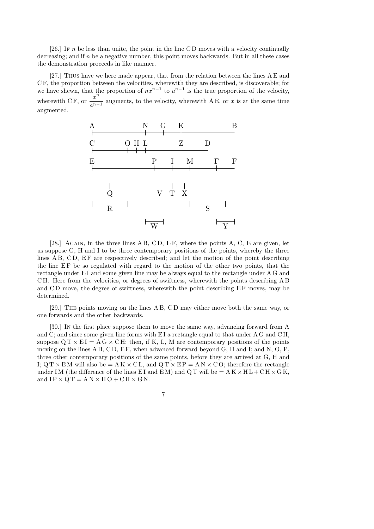[26.] If n be less than unite, the point in the line CD moves with a velocity continually decreasing; and if  $n$  be a negative number, this point moves backwards. But in all these cases the demonstration proceeds in like manner.

[27.] Thus have we here made appear, that from the relation between the lines A E and C F, the proportion between the velocities, wherewith they are described, is discoverable; for we have shewn, that the proportion of  $nx^{n-1}$  to  $a^{n-1}$  is the true proportion of the velocity, wherewith CF, or  $\frac{x^n}{x-1}$  $\frac{a}{a^{n-1}}$  augments, to the velocity, wherewith A E, or x is at the same time augmented.



[28.] AGAIN, in the three lines  $\overline{AB}$ ,  $\overline{CD}$ ,  $\overline{EF}$ , where the points A, C, E are given, let us suppose G, H and I to be three contemporary positions of the points, whereby the three lines A B, C D, E F are respectively described; and let the motion of the point describing the line EF be so regulated with regard to the motion of the other two points, that the rectangle under EI and some given line may be always equal to the rectangle under A G and C H. Here from the velocities, or degrees of swiftness, wherewith the points describing A B and CD move, the degree of swiftness, wherewith the point describing EF moves, may be determined.

[29.] The points moving on the lines A B, C D may either move both the same way, or one forwards and the other backwards.

[30.] In the first place suppose them to move the same way, advancing forward from A and C; and since some given line forms with EI a rectangle equal to that under A G and CH, suppose  $Q T \times E I = AG \times CH$ ; then, if K, L, M are contemporary positions of the points moving on the lines A B, C D, E F, when advanced forward beyond G, H and I; and N, O, P, three other contemporary positions of the same points, before they are arrived at G, H and I;  $\mathrm{Q} \mathrm{T} \times \mathrm{E} \mathrm{M}$  will also be  $= \mathrm{A} \mathrm{K} \times \mathrm{C} \mathrm{L}$ , and  $\mathrm{Q} \mathrm{T} \times \mathrm{E} \mathrm{P} = \mathrm{A} \mathrm{N} \times \mathrm{C} \mathrm{O}$ ; therefore the rectangle under IM (the difference of the lines EI and EM) and QT will be  $= A K \times H L + CH \times G K$ , and  $IP \times QT = AN \times HO + CH \times GN$ .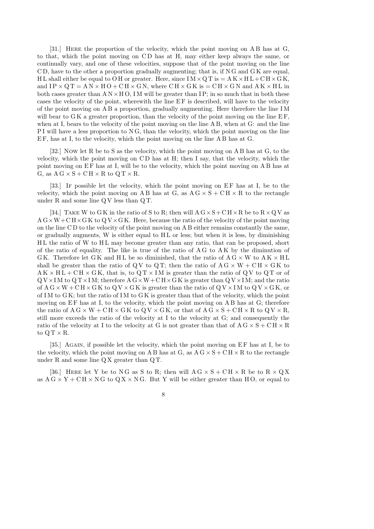[31.] Here the proportion of the velocity, which the point moving on A B has at G, to that, which the point moving on C D has at H, may either keep always the same, or continually vary, and one of these velocities, suppose that of the point moving on the line C D, have to the other a proportion gradually augmenting; that is, if N G and G K are equal, H L shall either be equal to O H or greater. Here, since  $IM \times QT$  is  $= AK \times HL + CH \times GK$ , and  $IP \times QT = AN \times HO + CH \times GN$ , where  $CH \times GK$  is  $= CH \times GN$  and  $AK \times HL$  in both cases greater than  $AN \times HO$ , IM will be greater than IP; in so much that in both these cases the velocity of the point, wherewith the line EF is described, will have to the velocity of the point moving on A B a proportion, gradually augmenting. Here therefore the line I M will bear to  $G K$  a greater proportion, than the velocity of the point moving on the line  $E F$ , when at I, bears to the velocity of the point moving on the line A B, when at G: and the line PI will have a less proportion to NG, than the velocity, which the point moving on the line E F, has at I, to the velocity, which the point moving on the line A B has at G.

[32.] Now let R be to S as the velocity, which the point moving on A B has at G, to the velocity, which the point moving on C D has at H; then I say, that the velocity, which the point moving on EF has at I, will be to the velocity, which the point moving on AB has at G, as  $A G \times S + CH \times R$  to  $Q T \times R$ .

[33.] If possible let the velocity, which the point moving on EF has at I, be to the velocity, which the point moving on A B has at G, as  $AG \times S + CH \times R$  to the rectangle under R and some line Q V less than Q T.

[34.] TAKE W to GK in the ratio of S to R; then will  $A G \times S + C H \times R$  be to  $R \times Q V$  as  $A G \times W + C H \times G K$  to  $Q V \times G K$ . Here, because the ratio of the velocity of the point moving on the line C D to the velocity of the point moving on A B either remains constantly the same, or gradually augments,  $W$  is either equal to  $HL$  or less; but when it is less, by diminishing H L the ratio of W to H L may become greater than any ratio, that can be proposed, short of the ratio of equality. The like is true of the ratio of A G to A K by the diminution of GK. Therefore let GK and HL be so diminished, that the ratio of  $A G \times W$  to  $A K \times H L$ shall be greater than the ratio of QV to QT; then the ratio of  $A G \times W + CH \times GK$  to  $AK \times HL + CH \times GK$ , that is, to  $QT \times IM$  is greater than the ratio of QV to QT or of  $Q V \times I M$  to  $Q T \times I M$ ; therefore  $A G \times W + C H \times G K$  is greater than  $Q V \times I M$ ; and the ratio of  $A G \times W + C H \times G K$  to  $Q V \times G K$  is greater than the ratio of  $Q V \times I M$  to  $Q V \times G K$ , or of IM to GK; but the ratio of IM to GK is greater than that of the velocity, which the point moving on  $EF$  has at I, to the velocity, which the point moving on  $\overline{AB}$  has at  $\overline{G}$ ; therefore the ratio of  $A G \times W + CH \times G K$  to  $Q V \times G K$ , or that of  $A G \times S + CH \times R$  to  $Q V \times R$ , still more exceeds the ratio of the velocity at I to the velocity at G; and consequently the ratio of the velocity at I to the velocity at G is not greater than that of  $A G \times S + C H \times R$ to  $Q T \times R$ .

[35.] AGAIN, if possible let the velocity, which the point moving on EF has at I, be to the velocity, which the point moving on A B has at G, as  $AG \times S + CH \times R$  to the rectangle under R and some line  $QX$  greater than  $QT$ .

[36.] HERE let Y be to NG as S to R; then will  $AG \times S + CH \times R$  be to  $R \times QX$ as  $AG \times Y + CH \times NG$  to  $QX \times NG$ . But Y will be either greater than HO, or equal to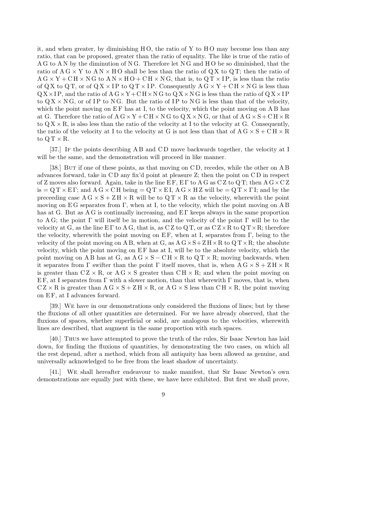it, and when greater, by diminishing  $H O$ , the ratio of Y to  $H O$  may become less than any ratio, that can be proposed, greater than the ratio of equality. The like is true of the ratio of A G to A N by the diminution of N G. Therefore let N G and H O be so diminished, that the ratio of  $AG \times Y$  to  $AN \times HO$  shall be less than the ratio of  $QX$  to  $QT$ ; then the ratio of  $A G \times Y + C H \times N G$  to  $A N \times H O + C H \times N G$ , that is, to  $Q T \times I P$ , is less than the ratio of QX to QT, or of QX  $\times$  IP to QT  $\times$  IP. Consequently A G  $\times$  Y + CH  $\times$  NG is less than  $Q X \times I P$ , and the ratio of  $A G \times Y + C H \times N G$  to  $Q X \times N G$  is less than the ratio of  $Q X \times I P$ to  $Q X \times N G$ , or of IP to NG. But the ratio of IP to NG is less than that of the velocity, which the point moving on  $EF$  has at I, to the velocity, which the point moving on A B has at G. Therefore the ratio of  $A G \times Y + C H \times N G$  to  $Q X \times N G$ , or that of  $A G \times S + C H \times R$ to  $Q X \times R$ , is also less than the ratio of the velocity at I to the velocity at G. Consequently, the ratio of the velocity at I to the velocity at G is not less than that of  $A G \times S + C H \times R$ to  $Q T \times R$ .

[37.] If the points describing A B and C D move backwards together, the velocity at I will be the same, and the demonstration will proceed in like manner.

[38.] BUT if one of these points, as that moving on CD, recedes, while the other on A B advances forward, take in CD any fix'd point at pleasure Z; then the point on CD in respect of Z moves also forward. Again, take in the line  $E F$ ,  $E \Gamma$  to A G as C Z to Q T; then A G  $\times$  C Z is =  $\mathbf{Q} \mathbf{T} \times \mathbf{E} \Gamma$ ; and  $\mathbf{A} \mathbf{G} \times \mathbf{C} \mathbf{H}$  being =  $\mathbf{Q} \mathbf{T} \times \mathbf{E} \mathbf{I}$ ,  $\mathbf{A} \mathbf{G} \times \mathbf{H} \mathbf{Z}$  will be =  $\mathbf{Q} \mathbf{T} \times \Gamma \mathbf{I}$ ; and by the preceeding case  $A G \times S + Z H \times R$  will be to  $Q T \times R$  as the velocity, wherewith the point moving on E G separates from Γ, when at I, to the velocity, which the point moving on A B has at G. But as A G is continually increasing, and E Γ keeps always in the same proportion to A G; the point  $\Gamma$  will itself be in motion, and the velocity of the point  $\Gamma$  will be to the velocity at G, as the line  $E\Gamma$  to A G, that is, as C Z to Q T, or as  $CZ \times R$  to  $QT \times R$ ; therefore the velocity, wherewith the point moving on EF, when at I, separates from  $\Gamma$ , being to the velocity of the point moving on A B, when at G, as  $A G \times S + Z H \times R$  to  $Q T \times R$ ; the absolute velocity, which the point moving on  $E F$  has at I, will be to the absolute velocity, which the point moving on AB has at G, as  $AG \times S - CH \times R$  to  $QT \times R$ ; moving backwards, when it separates from  $\Gamma$  swifter than the point  $\Gamma$  itself moves, that is, when  $A G \times S + Z H \times R$ is greater than  $C Z \times R$ , or  $A G \times S$  greater than  $CH \times R$ ; and when the point moving on EF, at I separates from  $\Gamma$  with a slower motion, than that wherewith  $\Gamma$  moves, that is, when  $C Z \times R$  is greater than  $A G \times S + Z H \times R$ , or  $A G \times S$  less than  $CH \times R$ , the point moving on E F, at I advances forward.

[39.] We have in our demonstrations only considered the fluxions of lines; but by these the fluxions of all other quantities are determined. For we have already observed, that the fluxions of spaces, whether superficial or solid, are analogous to the velocities, wherewith lines are described, that augment in the same proportion with such spaces.

[40.] Thus we have attempted to prove the truth of the rules, Sir Isaac Newton has laid down, for finding the fluxions of quantities, by demonstrating the two cases, on which all the rest depend, after a method, which from all antiquity has been allowed as genuine, and universally acknowledged to be free from the least shadow of uncertainty.

[41.] We shall hereafter endeavour to make manifest, that Sir Isaac Newton's own demonstrations are equally just with these, we have here exhibited. But first we shall prove,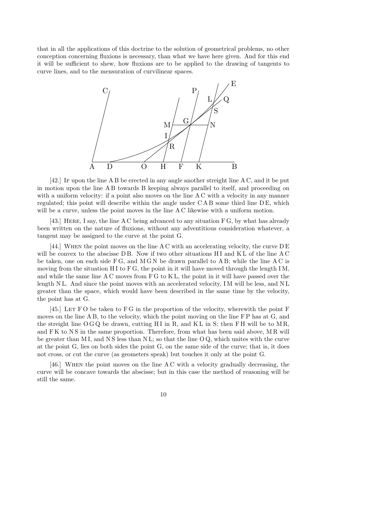that in all the applications of this doctrine to the solution of geometrical problems, no other conception concerning fluxions is necessary, than what we have here given. And for this end it will be sufficient to shew, how fluxions are to be applied to the drawing of tangents to curve lines, and to the mensuration of curvilinear spaces.



[42.] If upon the line A B be erected in any angle another streight line A C, and it be put in motion upon the line A B towards B keeping always parallel to itself, and proceeding on with a uniform velocity: if a point also moves on the line AC with a velocity in any manner regulated; this point will describe within the angle under CAB some third line DE, which will be a curve, unless the point moves in the line A C likewise with a uniform motion.

[43.] HERE, I say, the line A C being advanced to any situation F G, by what has already been written on the nature of fluxions, without any adventitious consideration whatever, a tangent may be assigned to the curve at the point G.

[44.] When the point moves on the line A C with an accelerating velocity, the curve D E will be convex to the abscisse  $DB$ . Now if two other situations  $HI$  and  $KL$  of the line AC be taken, one on each side  $FG$ , and  $MGN$  be drawn parallel to  $AB$ ; while the line  $AC$  is moving from the situation H I to  $FG$ , the point in it will have moved through the length IM, and while the same line A C moves from F G to K L, the point in it will have passed over the length NL. And since the point moves with an accelerated velocity, IM will be less, and NL greater than the space, which would have been described in the same time by the velocity, the point has at G.

[45.] LET FO be taken to FG in the proportion of the velocity, wherewith the point F moves on the line A B, to the velocity, which the point moving on the line F P has at G, and the streight line  $\overline{O}$  GQ be drawn, cutting HI in R, and KL in S; then FH will be to MR, and FK to NS in the same proportion. Therefore, from what has been said above, MR will be greater than MI, and NS less than NL; so that the line  $O\dot{Q}$ , which unites with the curve at the point G, lies on both sides the point G, on the same side of the curve; that is, it does not cross, or cut the curve (as geometers speak) but touches it only at the point G.

[46.] When the point moves on the line A C with a velocity gradually decreasing, the curve will be concave towards the abscisse; but in this case the method of reasoning will be still the same.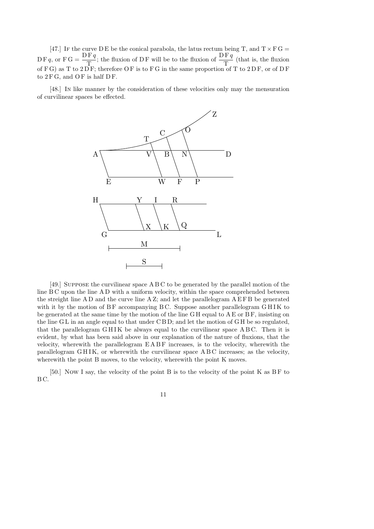[47.] If the curve D E be the conical parabola, the latus rectum being T, and  $T \times F G =$  $DF q$ , or  $FG = \frac{DF q}{T}$ T ; the fluxion of D F will be to the fluxion of  $\frac{\text{DF }q}{\text{Tr}}$ T (that is, the fluxion of F G) as T to 2D F; therefore O F is to F G in the same proportion of T to 2D F, or of D F to  $2 F G$ , and  $O F$  is half  $D F$ .

[48.] In like manner by the consideration of these velocities only may the mensuration of curvilinear spaces be effected.



[49.] Suppose the curvilinear space A B C to be generated by the parallel motion of the line B C upon the line A D with a uniform velocity, within the space comprehended between the streight line A D and the curve line  $A Z$ ; and let the parallelogram  $A E F B$  be generated with it by the motion of  $BF$  accompanying  $BC$ . Suppose another parallelogram  $GHIK$  to be generated at the same time by the motion of the line G H equal to A E or B F, insisting on the line G L in an angle equal to that under C B D; and let the motion of G H be so regulated, that the parallelogram  $GHIK$  be always equal to the curvilinear space  $ABC$ . Then it is evident, by what has been said above in our explanation of the nature of fluxions, that the velocity, wherewith the parallelogram E A B F increases, is to the velocity, wherewith the parallelogram GHIK, or wherewith the curvilinear space ABC increases; as the velocity, wherewith the point B moves, to the velocity, wherewith the point K moves.

[50.] Now I say, the velocity of the point B is to the velocity of the point K as BF to B C.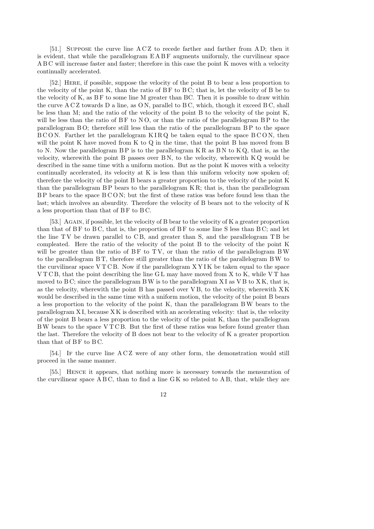[51.] Suppose the curve line A C Z to recede farther and farther from A D; then it is evident, that while the parallelogram E A B F augments uniformly, the curvilinear space A B C will increase faster and faster; therefore in this case the point K moves with a velocity continually accelerated.

[52.] Here, if possible, suppose the velocity of the point B to bear a less proportion to the velocity of the point K, than the ratio of B F to B C; that is, let the velocity of B be to the velocity of K, as BF to some line M greater than BC. Then it is possible to draw within the curve  $ACZ$  towards  $D$  a line, as  $ON$ , parallel to  $BC$ , which, though it exceed  $BC$ , shall be less than M; and the ratio of the velocity of the point B to the velocity of the point K, will be less than the ratio of  $BF$  to  $NO$ , or than the ratio of the parallelogram  $BP$  to the parallelogram B O; therefore still less than the ratio of the parallelogram B P to the space  $BCO$ N. Farther let the parallelogram  $KIRQ$  be taken equal to the space  $BCON$ , then will the point K have moved from K to Q in the time, that the point B has moved from B to N. Now the parallelogram  $BP$  is to the parallelogram  $KR$  as  $BN$  to  $KQ$ , that is, as the velocity, wherewith the point B passes over  $BN$ , to the velocity, wherewith  $KQ$  would be described in the same time with a uniform motion. But as the point K moves with a velocity continually accelerated, its velocity at K is less than this uniform velocity now spoken of; therefore the velocity of the point B bears a greater proportion to the velocity of the point K than the parallelogram  $BP$  bears to the parallelogram  $KR$ ; that is, than the parallelogram B P bears to the space B C O N; but the first of these ratios was before found less than the last; which involves an absurdity. Therefore the velocity of B bears not to the velocity of K a less proportion than that of BF to BC.

[53.] AGAIN, if possible, let the velocity of B bear to the velocity of K a greater proportion than that of  $BF$  to  $BC$ , that is, the proportion of  $BF$  to some line S less than  $BC$ ; and let the line  $TV$  be drawn parallel to  $CB$ , and greater than S, and the parallelogram  $TB$  be compleated. Here the ratio of the velocity of the point B to the velocity of the point K will be greater than the ratio of  $BF$  to  $TV$ , or than the ratio of the parallelogram BW to the parallelogram B T, therefore still greater than the ratio of the parallelogram BW to the curvilinear space V T C B. Now if the parallelogram X Y I K be taken equal to the space  $VTCB$ , that the point describing the line GL may have moved from X to K, while VT has moved to B C; since the parallelogram B W is to the parallelogram  $X I$  as  $V B$  to  $X K$ , that is, as the velocity, wherewith the point B has passed over V B, to the velocity, wherewith X K would be described in the same time with a uniform motion, the velocity of the point B bears a less proportion to the velocity of the point K, than the parallelogram BW bears to the parallelogram X I, because X K is described with an accelerating velocity: that is, the velocity of the point B bears a less proportion to the velocity of the point K, than the parallelogram BW bears to the space V T C B. But the first of these ratios was before found greater than the last. Therefore the velocity of B does not bear to the velocity of K a greater proportion than that of  $BF$  to  $BC$ .

[54.] If the curve line A C Z were of any other form, the demonstration would still proceed in the same manner.

[55.] Hence it appears, that nothing more is necessary towards the mensuration of the curvilinear space  $A B C$ , than to find a line  $G K$  so related to  $A B$ , that, while they are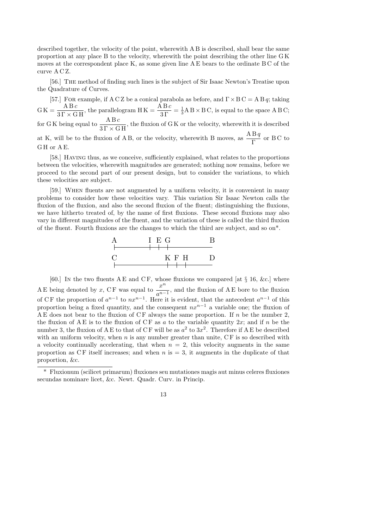described together, the velocity of the point, wherewith A B is described, shall bear the same proportion at any place B to the velocity, wherewith the point describing the other line G K moves at the correspondent place K, as some given line A E bears to the ordinate B C of the curve A C Z.

[56.] The method of finding such lines is the subject of Sir Isaac Newton's Treatise upon the Quadrature of Curves.

[57.] FOR example, if ACZ be a conical parabola as before, and  $\Gamma \times B C = A B q$ ; taking  $G\,\mathrm{K} = \frac{\mathrm{A}\,\mathrm{B}\,c}{3\,\Gamma\times\mathrm{G}\,\mathrm{H}}, \,\mathrm{the\,\,parallel\,logram\,\,H\,\mathrm{K}} = \frac{\mathrm{A}\,\mathrm{B}\,c}{3\,\Gamma}$  $=\frac{1}{3}$  $\frac{1}{3}$ A B × B C, is equal to the space A B C; for GK being equal to  $\frac{A B c}{2 E + C}$  $\frac{1256}{31 \times 6 \text{ H}}$ , the fluxion of GK or the velocity, wherewith it is described at K, will be to the fluxion of A B, or the velocity, wherewith B moves, as  $\frac{ABq}{D}$ Γ or B C to G H or A E.

[58.] Having thus, as we conceive, sufficiently explained, what relates to the proportions between the velocities, wherewith magnitudes are generated; nothing now remains, before we proceed to the second part of our present design, but to consider the variations, to which these velocities are subject.

[59.] When fluents are not augmented by a uniform velocity, it is convenient in many problems to consider how these velocities vary. This variation Sir Isaac Newton calls the fluxion of the fluxion, and also the second fluxion of the fluent; distinguishing the fluxions, we have hitherto treated of, by the name of first fluxions. These second fluxions may also vary in different magnitudes of the fluent, and the variation of these is called the third fluxion of the fluent. Fourth fluxions are the changes to which the third are subject, and so on\*.



[60.] In the two fluents  $A E$  and  $C F$ , whose fluxions we compared [at  $\S 16$ , &c.] where A E being denoted by x, CF was equal to  $\frac{x^n}{x^n}$  $\frac{a}{a^{n-1}}$ , and the fluxion of A E bore to the fluxion of CF the proportion of  $a^{n-1}$  to  $nx^{n-1}$ . Here it is evident, that the antecedent  $a^{n-1}$  of this proportion being a fixed quantity, and the consequent  $nx^{n-1}$  a variable one; the fluxion of A E does not bear to the fluxion of  $CF$  always the same proportion. If n be the number 2, the fluxion of A E is to the fluxion of CF as a to the variable quantity  $2x$ ; and if n be the number 3, the fluxion of A E to that of CF will be as  $a^2$  to  $3x^2$ . Therefore if A E be described with an uniform velocity, when  $n$  is any number greater than unite,  $CF$  is so described with a velocity continually accelerating, that when  $n = 2$ , this velocity augments in the same proportion as CF itself increases; and when  $n$  is  $=$  3, it augments in the duplicate of that proportion, &c.

<sup>\*</sup> Fluxionum (scilicet primarum) fluxiones seu mutationes magis aut minus celeres fluxiones secundas nominare licet, &c. Newt. Quadr. Curv. in Princip.

<sup>13</sup>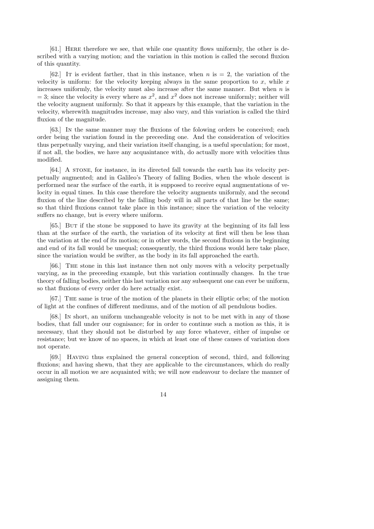[61.] Here therefore we see, that while one quantity flows uniformly, the other is described with a varying motion; and the variation in this motion is called the second fluxion of this quantity.

[62.] It is evident farther, that in this instance, when  $n$  is  $= 2$ , the variation of the velocity is uniform: for the velocity keeping always in the same proportion to x, while x increases uniformly, the velocity must also increase after the same manner. But when  $n$  is  $=$  3; since the velocity is every where as  $x^2$ , and  $x^2$  does not increase uniformly; neither will the velocity augment uniformly. So that it appears by this example, that the variation in the velocity, wherewith magnitudes increase, may also vary, and this variation is called the third fluxion of the magnitude.

[63.] In the same manner may the fluxions of the folowing orders be conceived; each order being the variation found in the preceeding one. And the consideration of velocities thus perpetually varying, and their variation itself changing, is a useful speculation; for most, if not all, the bodies, we have any acquaintance with, do actually more with velocities thus modified.

[64.] A strong, for instance, in its directed fall towards the earth has its velocity perpetually augmented; and in Galileo's Theory of falling Bodies, when the whole descent is performed near the surface of the earth, it is supposed to receive equal augmentations of velocity in equal times. In this case therefore the velocity augments uniformly, and the second fluxion of the line described by the falling body will in all parts of that line be the same; so that third fluxions cannot take place in this instance; since the variation of the velocity suffers no change, but is every where uniform.

[65.] But if the stone be supposed to have its gravity at the beginning of its fall less than at the surface of the earth, the variation of its velocity at first will then be less than the variation at the end of its motion; or in other words, the second fluxions in the beginning and end of its fall would be unequal; consequently, the third fluxions would here take place, since the variation would be swifter, as the body in its fall approached the earth.

[66.] The stone in this last instance then not only moves with a velocity perpetually varying, as in the preceeding example, but this variation continually changes. In the true theory of falling bodies, neither this last variation nor any subsequent one can ever be uniform, so that fluxions of every order do here actually exist.

[67.] The same is true of the motion of the planets in their elliptic orbs; of the motion of light at the confines of different mediums, and of the motion of all pendulous bodies.

[68.] In short, an uniform unchangeable velocity is not to be met with in any of those bodies, that fall under our cognisance; for in order to continue such a motion as this, it is necessary, that they should not be disturbed by any force whatever, either of impulse or resistance; but we know of no spaces, in which at least one of these causes of variation does not operate.

[69.] Having thus explained the general conception of second, third, and following fluxions; and having shewn, that they are applicable to the circumstances, which do really occur in all motion we are acquainted with; we will now endeavour to declare the manner of assigning them.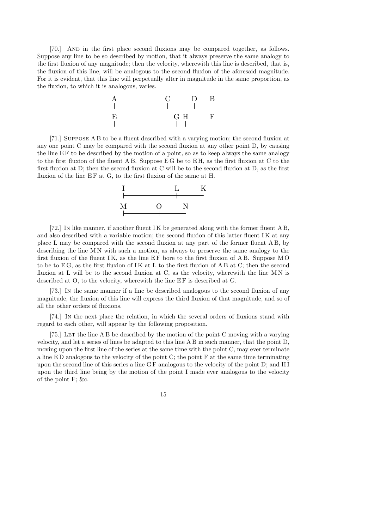[70.] And in the first place second fluxions may be compared together, as follows. Suppose any line to be so described by motion, that it always preserve the same analogy to the first fluxion of any magnitude; then the velocity, wherewith this line is described, that is, the fluxion of this line, will be analogous to the second fluxion of the aforesaid magnitude. For it is evident, that this line will perpetually alter in magnitude in the same proportion, as the fluxion, to which it is analogous, varies.



[71.] Suppose A B to be a fluent described with a varying motion; the second fluxion at any one point C may be compared with the second fluxion at any other point D, by causing the line E F to be described by the motion of a point, so as to keep always the same analogy to the first fluxion of the fluent A B. Suppose E G be to E H, as the first fluxion at C to the first fluxion at D; then the second fluxion at C will be to the second fluxion at D, as the first fluxion of the line  $EF$  at  $G$ , to the first fluxion of the same at  $H$ .



[72.] In like manner, if another fluent I K be generated along with the former fluent A B, and also described with a variable motion; the second fluxion of this latter fluent IK at any place L may be compared with the second fluxion at any part of the former fluent A B, by describing the line M N with such a motion, as always to preserve the same analogy to the first fluxion of the fluent  $IK$ , as the line  $EF$  bore to the first fluxion of AB. Suppose MO to be to  $EG$ , as the first fluxion of IK at L to the first fluxion of AB at  $C$ ; then the second fluxion at L will be to the second fluxion at C, as the velocity, wherewith the line  $MN$  is described at  $O$ , to the velocity, wherewith the line  $EF$  is described at  $G$ .

[73.] In the same manner if a line be described analogous to the second fluxion of any magnitude, the fluxion of this line will express the third fluxion of that magnitude, and so of all the other orders of fluxions.

[74.] In the next place the relation, in which the several orders of fluxions stand with regard to each other, will appear by the following proposition.

[75.] LET the line A B be described by the motion of the point C moving with a varying velocity, and let a series of lines be adapted to this line A B in such manner, that the point D, moving upon the first line of the series at the same time with the point C, may ever terminate a line E D analogous to the velocity of the point C; the point F at the same time terminating upon the second line of this series a line G F analogous to the velocity of the point D; and H I upon the third line being by the motion of the point I made ever analogous to the velocity of the point F; &c.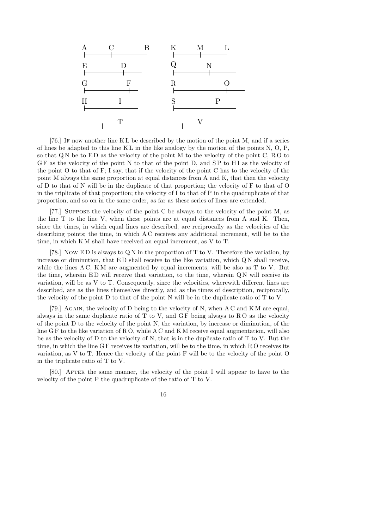

[76.] If now another line K L be described by the motion of the point M, and if a series of lines be adapted to this line K L in the like analogy by the motion of the points N, O, P, so that  $QN$  be to  $ED$  as the velocity of the point M to the velocity of the point C, RO to GF as the velocity of the point N to that of the point D, and SP to HI as the velocity of the point O to that of F; I say, that if the velocity of the point C has to the velocity of the point M always the same proportion at equal distances from A and K, that then the velocity of D to that of N will be in the duplicate of that proportion; the velocity of F to that of O in the triplicate of that proportion; the velocity of I to that of P in the quadruplicate of that proportion, and so on in the same order, as far as these series of lines are extended.

[77.] Suppose the velocity of the point C be always to the velocity of the point M, as the line T to the line V, when these points are at equal distances from A and K. Then, since the times, in which equal lines are described, are reciprocally as the velocities of the describing points; the time, in which A C receives any additional increment, will be to the time, in which K M shall have received an equal increment, as V to T.

[78.] Now ED is always to QN in the proportion of T to V. Therefore the variation, by increase or diminution, that  $ED$  shall receive to the like variation, which  $QN$  shall receive, while the lines  $AC$ ,  $KM$  are augmented by equal increments, will be also as T to V. But the time, wherein  $ED$  will receive that variation, to the time, wherein  $QN$  will receive its variation, will be as V to T. Consequently, since the velocities, wherewith different lines are described, are as the lines themselves directly, and as the times of description, reciprocally, the velocity of the point D to that of the point N will be in the duplicate ratio of T to V.

[79.] AGAIN, the velocity of D being to the velocity of N, when  $AC$  and  $KM$  are equal, always in the same duplicate ratio of  $T$  to  $V$ , and  $GF$  being always to  $RO$  as the velocity of the point D to the velocity of the point N, the variation, by increase or diminution, of the line G F to the like variation of R O, while A C and K M receive equal augmentation, will also be as the velocity of D to the velocity of N, that is in the duplicate ratio of  $T$  to V. But the time, in which the line G F receives its variation, will be to the time, in which R O receives its variation, as V to T. Hence the velocity of the point F will be to the velocity of the point O in the triplicate ratio of T to V.

[80.] AFTER the same manner, the velocity of the point I will appear to have to the velocity of the point P the quadruplicate of the ratio of T to V.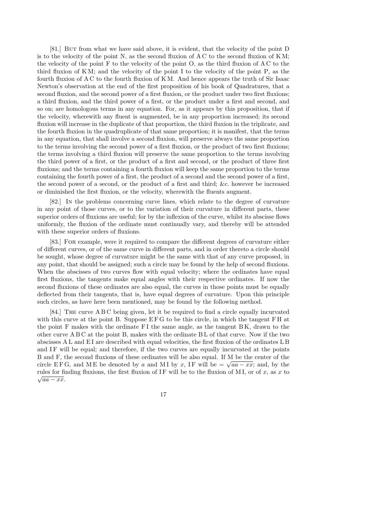[81.] But from what we have said above, it is evident, that the velocity of the point D is to the velocity of the point N, as the second fluxion of  $AC$  to the second fluxion of  $KM$ ; the velocity of the point F to the velocity of the point O, as the third fluxion of A C to the third fluxion of K M; and the velocity of the point I to the velocity of the point P, as the fourth fluxion of A C to the fourth fluxion of K M. And hence appears the truth of Sir Isaac Newton's observation at the end of the first proposition of his book of Quadratures, that a second fluxion, and the second power of a first fluxion, or the product under two first fluxions; a third fluxion, and the third power of a first, or the product under a first and second, and so on; are homologous terms in any equation. For, as it appears by this proposition, that if the velocity, wherewith any fluent is augmented, be in any proportion increased; its second fluxion will increase in the duplicate of that proportion, the third fluxion in the triplicate, and the fourth fluxion in the quadruplicate of that same proportion; it is manifest, that the terms in any equation, that shall involve a second fluxion, will preserve always the same proportion to the terms involving the second power of a first fluxion, or the product of two first fluxions; the terms involving a third fluxion will preserve the same proportion to the terms involving the third power of a first, or the product of a first and second, or the product of three first fluxions; and the terms containing a fourth fluxion will keep the same proportion to the terms containing the fourth power of a first, the product of a second and the second power of a first, the second power of a second, or the product of a first and third; &c. however be increased or diminished the first fluxion, or the velocity, wherewith the fluents augment.

[82.] In the problems concerning curve lines, which relate to the degree of curvature in any point of those curves, or to the variation of their curvature in different parts, these superior orders of fluxions are useful; for by the inflexion of the curve, whilst its abscisse flows uniformly, the fluxion of the ordinate must continually vary, and thereby will be attended with these superior orders of fluxions.

[83.] For example, were it required to compare the different degrees of curvature either of different curves, or of the same curve in different parts, and in order thereto a circle should be sought, whose degree of curvature might be the same with that of any curve proposed, in any point, that should be assigned; such a circle may be found by the help of second fluxions. When the abscisses of two curves flow with equal velocity; where the ordinates have equal first fluxions, the tangents make equal angles with their respective ordinates. If now the second fluxions of these ordinates are also equal, the curves in those points must be equally deflected from their tangents, that is, have equal degrees of curvature. Upon this principle such circles, as have here been mentioned, may be found by the following method.

[84.] The curve A B C being given, let it be required to find a circle equally incurvated with this curve at the point B. Suppose EFG to be this circle, in which the tangent FH at the point F makes with the ordinate F I the same angle, as the tangent B K, drawn to the other curve A B C at the point B, makes with the ordinate B L of that curve. Now if the two abscisses A L and E I are described with equal velocities, the first fluxion of the ordinates L B and IF will be equal; and therefore, if the two curves are equally incurvated at the points B and F, the second fluxions of these ordinates will be also equal. If M be the center of the B and F, the second fluxions of these ordinates will be also equal. If M be the center of the circle EFG, and ME be denoted by a and MI by x, IF will be  $=\sqrt{aa - xx}$ ; and, by the rules for finding fluxions, the first fluxion of IF will be to the fluxion of MI, or of x, as x to  $\sqrt{aa - xx}.$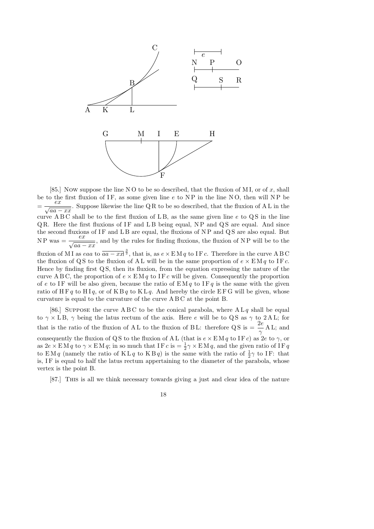

[85.] Now suppose the line NO to be so described, that the fluxion of MI, or of x, shall be to the first fluxion of IF, as some given line  $e$  to NP in the line NO, then will NP be =  $\frac{ex}{ex}$  $\frac{a}{aa - xx}$ . Suppose likewise the line QR to be so described, that the fluxion of AL in the curve ABC shall be to the first fluxion of LB, as the same given line  $e$  to  $\overline{QS}$  in the line  $QR.$  Here the first fluxions of IF and  $LB$  being equal, NP and  $QS$  are equal. And since the second fluxions of  $IF$  and  $LB$  are equal, the fluxions of  $NP$  and  $QS$  are also equal. But  $N P$  was  $=$  $<sub>′</sub>$ </sub>  $\frac{a}{aa - xx}$ , and by the rules for finding fluxions, the fluxion of NP will be to the fluxion of MI as eaa to  $\overline{aa - xx}^{\frac{3}{2}}$ , that is, as  $e \times \text{EM } q$  to IF c. Therefore in the curve ABC the fluxion of QS to the fluxion of AL will be in the same proportion of  $e \times \mathbb{E} \mathbb{M} q$  to IF c. Hence by finding first Q S, then its fluxion, from the equation expressing the nature of the curve A B C, the proportion of  $e \times \text{EM } q$  to IF c will be given. Consequently the proportion of e to IF will be also given, because the ratio of  $EMq$  to IF q is the same with the given ratio of H F q to H I q, or of K B q to K L q. And hereby the circle E F G will be given, whose curvature is equal to the curvature of the curve A B C at the point B.

[86.] SUPPOSE the curve A B C to be the conical parabola, where  $A L q$  shall be equal to  $\gamma \times L B$ ,  $\gamma$  being the latus rectum of the axis. Here e will be to QS as  $\gamma$  to 2AL; for that is the ratio of the fluxion of A L to the fluxion of B L: therefore QS is  $=$   $\frac{2e}{2}$  $\gamma$ A L; and consequently the fluxion of QS to the fluxion of AL (that is  $e \times \mathbf{E} M q$  to IF c) as 2e to  $\gamma$ , or as  $2e \times \text{EM } q$  to  $\gamma \times \text{EM } q$ ; in so much that IF  $c$  is  $= \frac{1}{2}\gamma \times \text{EM } q$ , and the given ratio of IF  $q$ to EM q (namely the ratio of KL q to KB q) is the same with the ratio of  $\frac{1}{2}\gamma$  to IF: that is, IF is equal to half the latus rectum appertaining to the diameter of the parabola, whose vertex is the point B.

[87.] This is all we think necessary towards giving a just and clear idea of the nature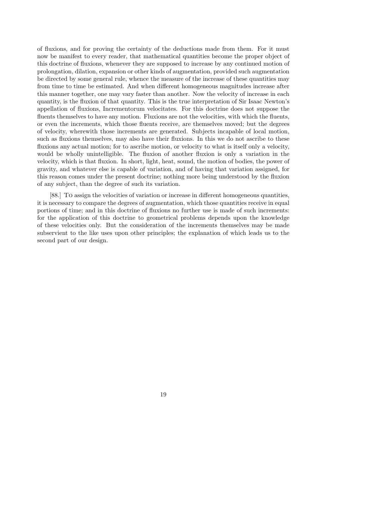of fluxions, and for proving the certainty of the deductions made from them. For it must now be manifest to every reader, that mathematical quantities become the proper object of this doctrine of fluxions, whenever they are supposed to increase by any continued motion of prolongation, dilation, expansion or other kinds of augmentation, provided such augmentation be directed by some general rule, whence the measure of the increase of these quantities may from time to time be estimated. And when different homogeneous magnitudes increase after this manner together, one may vary faster than another. Now the velocity of increase in each quantity, is the fluxion of that quantity. This is the true interpretation of Sir Isaac Newton's appellation of fluxions, Incrementorum velocitates. For this doctrine does not suppose the fluents themselves to have any motion. Fluxions are not the velocities, with which the fluents, or even the increments, which those fluents receive, are themselves moved; but the degrees of velocity, wherewith those increments are generated. Subjects incapable of local motion, such as fluxions themselves, may also have their fluxions. In this we do not ascribe to these fluxions any actual motion; for to ascribe motion, or velocity to what is itself only a velocity, would be wholly unintelligible. The fluxion of another fluxion is only a variation in the velocity, which is that fluxion. In short, light, heat, sound, the motion of bodies, the power of gravity, and whatever else is capable of variation, and of having that variation assigned, for this reason comes under the present doctrine; nothing more being understood by the fluxion of any subject, than the degree of such its variation.

[88.] To assign the velocities of variation or increase in different homogeneous quantities, it is necessary to compare the degrees of augmentation, which those quantities receive in equal portions of time; and in this doctrine of fluxions no further use is made of such increments: for the application of this doctrine to geometrical problems depends upon the knowledge of these velocities only. But the consideration of the increments themselves may be made subservient to the like uses upon other principles; the explanation of which leads us to the second part of our design.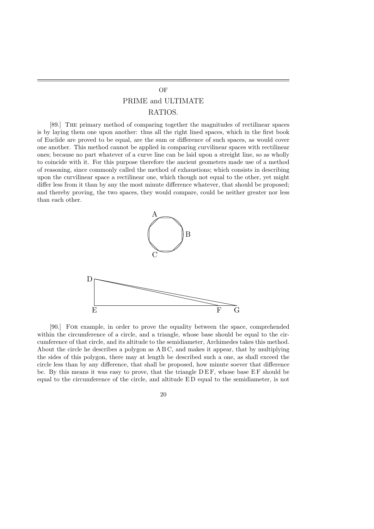## PRIME and ULTIMATE RATIOS.

[89.] The primary method of comparing together the magnitudes of rectilinear spaces is by laying them one upon another: thus all the right lined spaces, which in the first book of Euclide are proved to be equal, are the sum or difference of such spaces, as would cover one another. This method cannot be applied in comparing curvilinear spaces with rectilinear ones; because no part whatever of a curve line can be laid upon a streight line, so as wholly to coincide with it. For this purpose therefore the ancient geometers made use of a method of reasoning, since commonly called the method of exhaustions; which consists in describing upon the curvilinear space a rectilinear one, which though not equal to the other, yet might differ less from it than by any the most minute difference whatever, that should be proposed; and thereby proving, the two spaces, they would compare, could be neither greater nor less than each other.



[90.] For example, in order to prove the equality between the space, comprehended within the circumference of a circle, and a triangle, whose base should be equal to the circumference of that circle, and its altitude to the semidiameter, Archimedes takes this method. About the circle he describes a polygon as A B C, and makes it appear, that by multiplying the sides of this polygon, there may at length be described such a one, as shall exceed the circle less than by any difference, that shall be proposed, how minute soever that difference be. By this means it was easy to prove, that the triangle DEF, whose base EF should be equal to the circumference of the circle, and altitude E D equal to the semidiameter, is not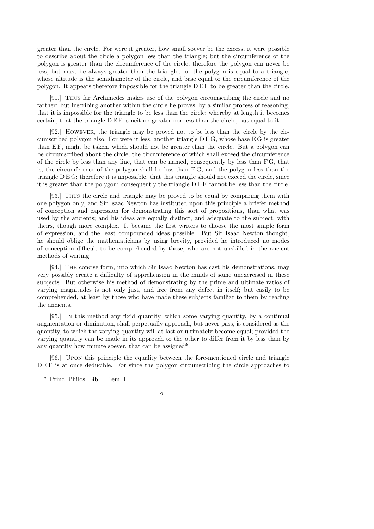greater than the circle. For were it greater, how small soever be the excess, it were possible to describe about the circle a polygon less than the triangle; but the circumference of the polygon is greater than the circumference of the circle, therefore the polygon can never be less, but must be always greater than the triangle; for the polygon is equal to a triangle, whose altitude is the semidiameter of the circle, and base equal to the circumference of the polygon. It appears therefore impossible for the triangle  $DEF$  to be greater than the circle.

[91.] Thus far Archimedes makes use of the polygon circumscribing the circle and no farther: but inscribing another within the circle he proves, by a similar process of reasoning, that it is impossible for the triangle to be less than the circle; whereby at length it becomes certain, that the triangle DEF is neither greater nor less than the circle, but equal to it.

[92.] However, the triangle may be proved not to be less than the circle by the circumscribed polygon also. For were it less, another triangle  $DEG$ , whose base  $EG$  is greater than EF, might be taken, which should not be greater than the circle. But a polygon can be circumscribed about the circle, the circumference of which shall exceed the circumference of the circle by less than any line, that can be named, consequently by less than F G, that is, the circumference of the polygon shall be less than E G, and the polygon less than the triangle D E G; therefore it is impossible, that this triangle should not exceed the circle, since it is greater than the polygon: consequently the triangle D E F cannot be less than the circle.

[93.] Thus the circle and triangle may be proved to be equal by comparing them with one polygon only, and Sir Isaac Newton has instituted upon this principle a briefer method of conception and expression for demonstrating this sort of propositions, than what was used by the ancients; and his ideas are equally distinct, and adequate to the subject, with theirs, though more complex. It became the first writers to choose the most simple form of expression, and the least compounded ideas possible. But Sir Isaac Newton thought, he should oblige the mathematicians by using brevity, provided he introduced no modes of conception difficult to be comprehended by those, who are not unskilled in the ancient methods of writing.

[94.] The concise form, into which Sir Isaac Newton has cast his demonstrations, may very possibly create a difficulty of apprehension in the minds of some unexercised in these subjects. But otherwise his method of demonstrating by the prime and ultimate ratios of varying magnitudes is not only just, and free from any defect in itself; but easily to be comprehended, at least by those who have made these subjects familiar to them by reading the ancients.

[95.] In this method any fix'd quantity, which some varying quantity, by a continual augmentation or diminution, shall perpetually approach, but never pass, is considered as the quantity, to which the varying quantity will at last or ultimately become equal; provided the varying quantity can be made in its approach to the other to differ from it by less than by any quantity how minute soever, that can be assigned\*.

[96.] Upon this principle the equality between the fore-mentioned circle and triangle DEF is at once deducible. For since the polygon circumscribing the circle approaches to

<sup>\*</sup> Princ. Philos. Lib. I. Lem. I.

<sup>21</sup>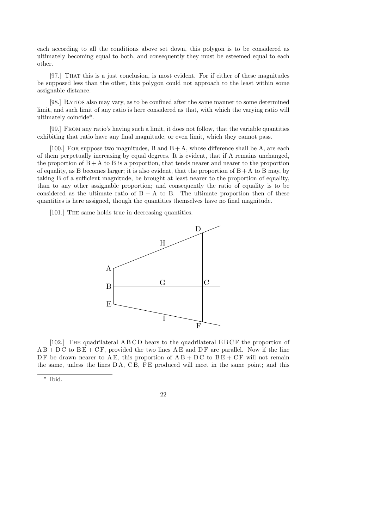each according to all the conditions above set down, this polygon is to be considered as ultimately becoming equal to both, and consequently they must be esteemed equal to each other.

[97.] That this is a just conclusion, is most evident. For if either of these magnitudes be supposed less than the other, this polygon could not approach to the least within some assignable distance.

[98.] RATIOS also may vary, as to be confined after the same manner to some determined limit, and such limit of any ratio is here considered as that, with which the varying ratio will ultimately coincide\*.

[99.] From any ratio's having such a limit, it does not follow, that the variable quantities exhibiting that ratio have any final magnitude, or even limit, which they cannot pass.

[100.] FOR suppose two magnitudes, B and  $B + A$ , whose difference shall be A, are each of them perpetually increasing by equal degrees. It is evident, that if A remains unchanged, the proportion of  $B + A$  to B is a proportion, that tends nearer and nearer to the proportion of equality, as B becomes larger; it is also evident, that the proportion of  $B + A$  to B may, by taking B of a sufficient magnitude, be brought at least nearer to the proportion of equality, than to any other assignable proportion; and consequently the ratio of equality is to be considered as the ultimate ratio of  $B + A$  to B. The ultimate proportion then of these quantities is here assigned, though the quantities themselves have no final magnitude.

[101.] The same holds true in decreasing quantities.



[102.] The quadrilateral A B C D bears to the quadrilateral E B C F the proportion of  $AB + DC$  to  $BE + CF$ , provided the two lines AE and DF are parallel. Now if the line DF be drawn nearer to AE, this proportion of  $AB + DC$  to  $BE + CF$  will not remain the same, unless the lines DA, CB, FE produced will meet in the same point; and this

<sup>\*</sup> Ibid.

<sup>22</sup>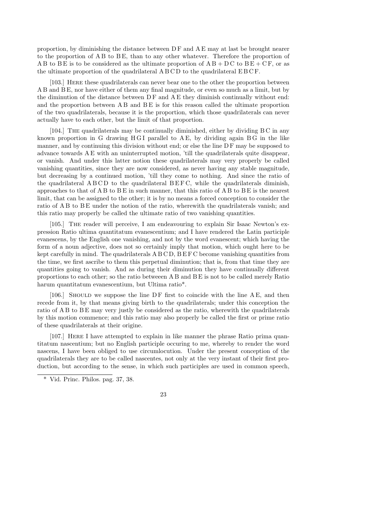proportion, by diminishing the distance between  $DF$  and  $AE$  may at last be brought nearer to the proportion of A B to B E, than to any other whatever. Therefore the proportion of A B to B E is to be considered as the ultimate proportion of  $AB + DC$  to  $BE + CF$ , or as the ultimate proportion of the quadrilateral A B C D to the quadrilateral E B C F.

[103.] Here these quadrilaterals can never bear one to the other the proportion between A B and B E, nor have either of them any final magnitude, or even so much as a limit, but by the diminution of the distance between  $DF$  and  $AE$  they diminish continually without end: and the proportion between A B and B E is for this reason called the ultimate proportion of the two quadrilaterals, because it is the proportion, which those quadrilaterals can never actually have to each other, but the limit of that proportion.

[104.] The quadrilaterals may be continually diminished, either by dividing B C in any known proportion in G drawing  $H G I$  parallel to  $A E$ , by dividing again  $B G$  in the like manner, and by continuing this division without end; or else the line DF may be supposed to advance towards A E with an uninterrupted motion, 'till the quadrilaterals quite disappear, or vanish. And under this latter notion these quadrilaterals may very properly be called vanishing quantities, since they are now considered, as never having any stable magnitude, but decreasing by a continued motion, 'till they come to nothing. And since the ratio of the quadrilateral A B C D to the quadrilateral B E F C, while the quadrilaterals diminish, approaches to that of  $A B$  to  $B E$  in such manner, that this ratio of  $A B$  to  $B E$  is the nearest limit, that can be assigned to the other; it is by no means a forced conception to consider the ratio of A B to B E under the notion of the ratio, wherewith the quadrilaterals vanish; and this ratio may properly be called the ultimate ratio of two vanishing quantities.

[105.] The reader will perceive, I am endeavouring to explain Sir Isaac Newton's expression Ratio ultima quantitatum evanescentium; and I have rendered the Latin participle evanescens, by the English one vanishing, and not by the word evanescent; which having the form of a noun adjective, does not so certainly imply that motion, which ought here to be kept carefully in mind. The quadrilaterals A B C D, B E F C become vanishing quantities from the time, we first ascribe to them this perpetual diminution; that is, from that time they are quantities going to vanish. And as during their diminution they have continually different proportions to each other; so the ratio betweeen A B and B E is not to be called merely Ratio harum quantitatum evanescentium, but Ultima ratio\*.

[106.] SHOULD we suppose the line DF first to coincide with the line A E, and then recede from it, by that means giving birth to the quadrilaterals; under this conception the ratio of A B to B E may very justly be considered as the ratio, wherewith the quadrilaterals by this motion commence; and this ratio may also properly be called the first or prime ratio of these quadrilaterals at their origine.

[107.] Here I have attempted to explain in like manner the phrase Ratio prima quantitatum nascentium; but no English participle occuring to me, whereby to render the word nascens, I have been obliged to use circumlocution. Under the present conception of the quadrilaterals they are to be called nascentes, not only at the very instant of their first production, but according to the sense, in which such participles are used in common speech,

<sup>\*</sup> Vid. Princ. Philos. pag. 37, 38.

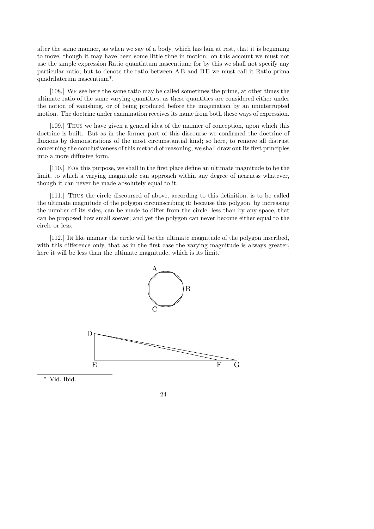after the same manner, as when we say of a body, which has lain at rest, that it is beginning to move, though it may have been some little time in motion: on this account we must not use the simple expression Ratio quantiatum nascentium; for by this we shall not specify any particular ratio; but to denote the ratio between A B and B E we must call it Ratio prima quadrilaterum nascentium\*.

[108.] We see here the same ratio may be called sometimes the prime, at other times the ultimate ratio of the same varying quantities, as these quantities are considered either under the notion of vanishing, or of being produced before the imagination by an uninterrupted motion. The doctrine under examination receives its name from both these ways of expression.

[109.] Thus we have given a general idea of the manner of conception, upon which this doctrine is built. But as in the former part of this discourse we confirmed the doctrine of fluxions by demonstrations of the most circumstantial kind; so here, to remove all distrust concerning the conclusiveness of this method of reasoning, we shall draw out its first principles into a more diffusive form.

[110.] For this purpose, we shall in the first place define an ultimate magnitude to be the limit, to which a varying magnitude can approach within any degree of nearness whatever, though it can never be made absolutely equal to it.

[111.] Thus the circle discoursed of above, according to this definition, is to be called the ultimate magnitude of the polygon circumscribing it; because this polygon, by increasing the number of its sides, can be made to differ from the circle, less than by any space, that can be proposed how small soever; and yet the polygon can never become either equal to the circle or less.

[112.] In like manner the circle will be the ultimate magnitude of the polygon inscribed, with this difference only, that as in the first case the varying magnitude is always greater, here it will be less than the ultimate magnitude, which is its limit.



\* Vid. Ibid.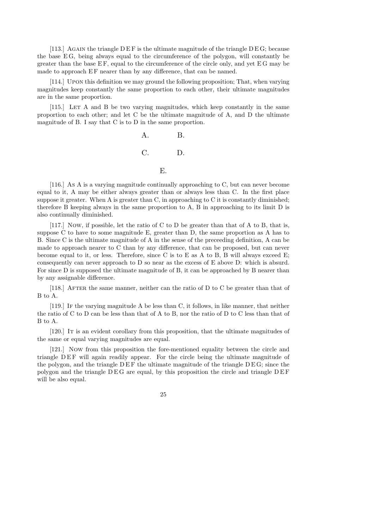[113.] AGAIN the triangle  $D \to F$  is the ultimate magnitude of the triangle  $D \to G$ ; because the base E G, being always equal to the circumference of the polygon, will constantly be greater than the base  $EF$ , equal to the circumference of the circle only, and yet  $EG$  may be made to approach EF nearer than by any difference, that can be named.

[114.] Upon this definition we may ground the following proposition; That, when varying magnitudes keep constantly the same proportion to each other, their ultimate magnitudes are in the same proportion.

[115.] Let A and B be two varying magnitudes, which keep constantly in the same proportion to each other; and let C be the ultimate magnitude of A, and D the ultimate magnitude of B. I say that C is to D in the same proportion.

A. B. C. D. E.

[116.] As A is a varying magnitude continually approaching to C, but can never become equal to it, A may be either always greater than or always less than C. In the first place suppose it greater. When A is greater than C, in approaching to C it is constantly diminished; therefore B keeping always in the same proportion to A, B in approaching to its limit D is also continually diminished.

[117.] Now, if possible, let the ratio of C to D be greater than that of A to B, that is, suppose C to have to some magnitude E, greater than D, the same proportion as A has to B. Since C is the ultimate magnitude of A in the sense of the preceeding definition, A can be made to approach nearer to C than by any difference, that can be proposed, but can never become equal to it, or less. Therefore, since C is to E as A to B, B will always exceed E; consequently can never approach to D so near as the excess of E above D: which is absurd. For since D is supposed the ultimate magnitude of B, it can be approached by B nearer than by any assignable difference.

[118.] AFTER the same manner, neither can the ratio of  $D$  to  $C$  be greater than that of B to A.

[119.] If the varying magnitude A be less than C, it follows, in like manner, that neither the ratio of C to D can be less than that of A to B, nor the ratio of D to C less than that of B to A.

[120.] It is an evident corollary from this proposition, that the ultimate magnitudes of the same or equal varying magnitudes are equal.

[121.] Now from this proposition the fore-mentioned equality between the circle and triangle DEF will again readily appear. For the circle being the ultimate magnitude of the polygon, and the triangle  $DEF$  the ultimate magnitude of the triangle  $DEG$ ; since the polygon and the triangle  $DEG$  are equal, by this proposition the circle and triangle  $DEF$ will be also equal.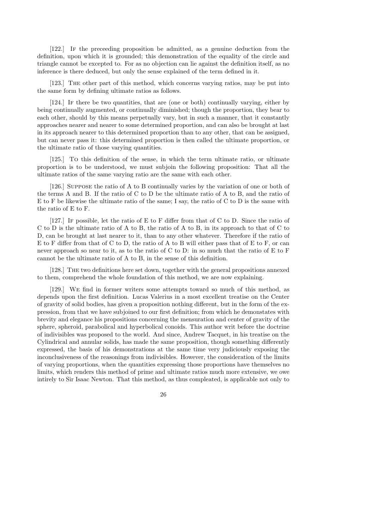[122.] If the preceeding proposition be admitted, as a genuine deduction from the definition, upon which it is grounded; this demonstration of the equality of the circle and triangle cannot be excepted to. For as no objection can lie against the definition itself, as no inference is there deduced, but only the sense explained of the term defined in it.

[123.] The other part of this method, which concerns varying ratios, may be put into the same form by defining ultimate ratios as follows.

[124.] If there be two quantities, that are (one or both) continually varying, either by being continually augmented, or continually diminished; though the proportion, they bear to each other, should by this means perpetually vary, but in such a manner, that it constantly approaches nearer and nearer to some determined proportion, and can also be brought at last in its approach nearer to this determined proportion than to any other, that can be assigned, but can never pass it: this determined proportion is then called the ultimate proportion, or the ultimate ratio of those varying quantities.

[125.] To this definition of the sense, in which the term ultimate ratio, or ultimate proportion is to be understood, we must subjoin the following proposition: That all the ultimate ratios of the same varying ratio are the same with each other.

[126.] Suppose the ratio of A to B continually varies by the variation of one or both of the terms A and B. If the ratio of C to D be the ultimate ratio of A to B, and the ratio of E to F be likewise the ultimate ratio of the same; I say, the ratio of C to D is the same with the ratio of E to F.

[127.] If possible, let the ratio of E to F differ from that of C to D. Since the ratio of C to D is the ultimate ratio of A to B, the ratio of A to B, in its approach to that of C to D, can be brought at last nearer to it, than to any other whatever. Therefore if the ratio of E to F differ from that of C to D, the ratio of A to B will either pass that of E to F, or can never approach so near to it, as to the ratio of C to D: in so much that the ratio of E to F cannot be the ultimate ratio of A to B, in the sense of this definition.

[128.] The two definitions here set down, together with the general propositions annexed to them, comprehend the whole foundation of this method, we are now explaining.

[129.] We find in former writers some attempts toward so much of this method, as depends upon the first definition. Lucas Valerius in a most excellent treatise on the Center of gravity of solid bodies, has given a proposition nothing different, but in the form of the expression, from that we have subjoined to our first definition; from which he demonstates with brevity and elegance his propositions concerning the mensuration and center of gravity of the sphere, spheroid, parabolical and hyperbolical conoids. This author writ before the doctrine of indivisibles was proposed to the world. And since, Andrew Tacquet, in his treatise on the Cylindrical and annular solids, has made the same proposition, though something differently expressed, the basis of his demonstrations at the same time very judiciously exposing the inconclusiveness of the reasonings from indivisibles. However, the consideration of the limits of varying proportions, when the quantities expressing those proportions have themselves no limits, which renders this method of prime and ultimate ratios much more extensive, we owe intirely to Sir Isaac Newton. That this method, as thus compleated, is applicable not only to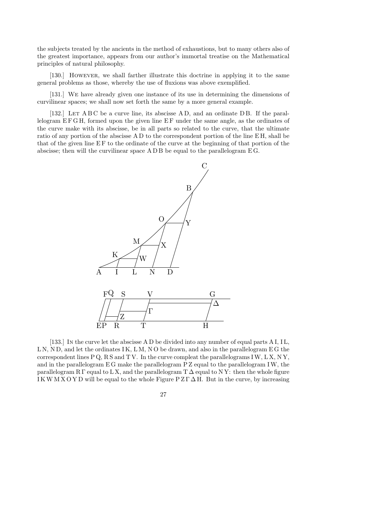the subjects treated by the ancients in the method of exhaustions, but to many others also of the greatest importance, appears from our author's immortal treatise on the Mathematical principles of natural philosophy.

[130.] However, we shall farther illustrate this doctrine in applying it to the same general problems as those, whereby the use of fluxions was above exemplified.

[131.] We have already given one instance of its use in determining the dimensions of curvilinear spaces; we shall now set forth the same by a more general example.

[132.] LET A B C be a curve line, its abscisse A D, and an ordinate D B. If the parallelogram E F G H, formed upon the given line E F under the same angle, as the ordinates of the curve make with its abscisse, be in all parts so related to the curve, that the ultimate ratio of any portion of the abscisse A D to the correspondent portion of the line E H, shall be that of the given line E F to the ordinate of the curve at the beginning of that portion of the abscisse; then will the curvilinear space A D B be equal to the parallelogram E G.



[133.] In the curve let the abscisse A D be divided into any number of equal parts A I, IL, LN, ND, and let the ordinates IK, LM, NO be drawn, and also in the parallelogram EG the correspondent lines  $P Q$ , RS and TV. In the curve compleat the parallelograms IW, LX, NY, and in the parallelogram E G make the parallelogram P Z equal to the parallelogram IW, the parallelogram R Γ equal to L X, and the parallelogram  $T\Delta$  equal to N Y: then the whole figure IKWMXOYD will be equal to the whole Figure  $P Z \Gamma \Delta H$ . But in the curve, by increasing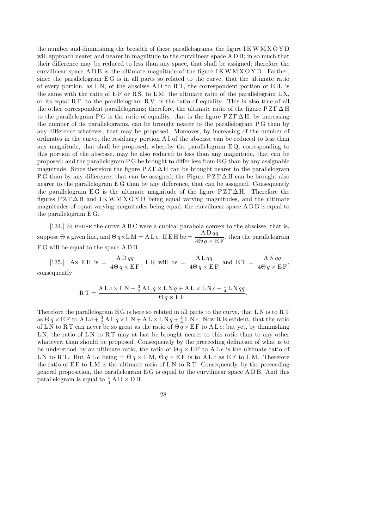the number and diminishing the breadth of these parallelograms, the figure I KW M X O Y D will approach nearer and nearer in magnitude to the curvilinear space A D B; in so much that their difference may be reduced to less than any space, that shall be assigned; therefore the curvilinear space  $A$  D B is the ultimate magnitude of the figure I K W M X O Y D. Farther, since the parallelogram  $EG$  is in all parts so related to the curve, that the ultimate ratio of every portion, as  $LN$ , of the abscisse  $AD$  to  $RT$ , the correspondent portion of  $EH$ , is the same with the ratio of  $EF$  or  $RS$ , to  $LM$ ; the ultimate ratio of the parallelogram  $LX$ , or its equal  $R \Gamma$ , to the parallelogram  $R V$ , is the ratio of equality. This is also true of all the other correspondent parallelograms; therefore, the ultimate ratio of the figure  $P Z \Gamma \Delta H$ to the parallelogram P G is the ratio of equality; that is the figure  $P Z \Gamma \Delta H$ , by increasing the number of its parallelograms, can be brought nearer to the parallelogram P G than by any difference whatever, that may be proposed. Moreover, by increasing of the number of ordinates in the curve, the residuary portion A I of the abscisse can be reduced to less than any magnitude, that shall be proposed; whereby the parallelogram  $EQ$ , corresponding to this portion of the abscisse, may be also reduced to less than any magnitude, that can be proposed; and the parallelogram P G be brought to differ less from E G than by any assignable magnitude. Since therefore the figure  $P Z \Gamma \Delta H$  can be brought nearer to the parallelogram P G than by any difference, that can be assigned; the Figure  $P Z \Gamma \Delta H$  can be brought also nearer to the parallelogram EG than by any difference, that can be assigned. Consequently the parallelogram EG is the ultimate magnitude of the figure  $P Z \Gamma \Delta H$ . Therefore the figures  $P Z \Gamma \Delta H$  and IKWMXOYD being equal varying magnitudes, and the ultimate magnitudes of equal varying magnitudes being equal, the curvilinear space A D B is equal to the parallelogram E G.

[134.] Suppose the curve A B C were a cubical parabola convex to the abscisse, that is, suppose  $\Theta$  a given line, and  $\Theta q \times LM = ALc$ . If EH be  $=$   $\frac{ADqq}{ADq}$  $\frac{112.44}{4\Theta q \times EF}$ , then the parallelogram E G will be equal to the space A D B.

[135.] As EH is  $=$   $\frac{\text{AD} \, qq}{4 \Omega_{\text{D}} \cdot \text{D} \cdot \text{D}}$  $4\Theta q \times \overline{\text{E F}}$ , ER will be  $=\frac{ALqq}{4Q+LR}$  $\overline{4\Theta q \times \mathrm{E}\,\mathrm{F}}$ and  $ET = \frac{AN qq}{40 \times F}$  $\frac{111.99}{4\Theta q \times EF}$ consequently

$$
RT = \frac{ALc \times LN + \frac{3}{2}ALq \times LNq + AL \times LNc + \frac{1}{4}LNqq}{\Theta q \times EF}.
$$

Therefore the parallelogram E G is here so related in all parts to the curve, that L N is to R T as  $\Theta q \times \text{EF}$  to  $\text{AL} c + \frac{3}{2}$  $\frac{3}{2}$  A L  $q \times$  L N + A L  $\times$  L N  $q + \frac{1}{4}$  $\frac{1}{4}$  L N c. Now it is evident, that the ratio of LN to RT can never be so great as the ratio of  $\Theta \overrightarrow{q} \times \overrightarrow{EF}$  to ALc; but yet, by diminishing LN, the ratio of LN to  $RT$  may at last be brought nearer to this ratio than to any other whatever, than should be proposed. Consequently by the preceeding definition of what is to be understood by an ultimate ratio, the ratio of  $\Theta q \times \mathrm{EF}$  to  $\mathrm{AL}c$  is the ultimate ratio of LN to RT. But ALc being =  $\Theta q \times LM$ ,  $\Theta q \times EF$  is to ALc as EF to LM. Therefore the ratio of  $E F$  to LM is the ultimate ratio of LN to RT. Consequently, by the preceeding general proposition, the parallelogram E G is equal to the curvilinear space A D B. And this parallelogram is equal to  $\frac{1}{4}$  A D  $\times$  D B.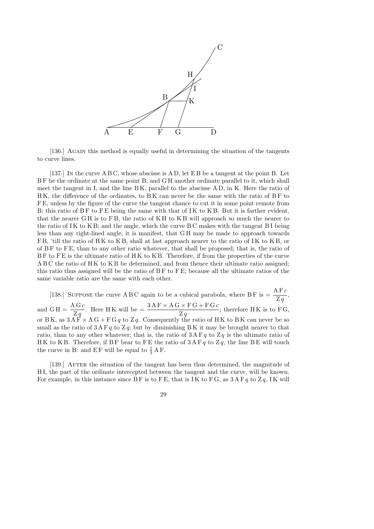

[136.] AGAIN this method is equally useful in determining the situation of the tangents to curve lines.

[137.] In the curve A B C, whose abscisse is A D, let E B be a tangent at the point B. Let BF be the ordinate at the same point B, and GH another ordinate parallel to it, which shall meet the tangent in I, and the line B K, parallel to the abscisse A D, in K. Here the ratio of H K, the difference of the ordinates, to B K can never be the same with the ratio of B F to F E, unless by the figure of the curve the tangent chance to cut it in some point remote from B; this ratio of  $BF$  to  $FE$  being the same with that of IK to  $KB$ . But it is farther evident, that the nearer GH is to FB, the ratio of KH to KB will approach so much the nearer to the ratio of IK to K B; and the angle, which the curve  $BC$  makes with the tangent  $BI$  being less than any right-lined angle, it is manifest, that G H may be made to approach towards F B, 'till the ratio of H K to K B, shall at last approach nearer to the ratio of I K to K B, or of B F to F E, than to any other ratio whatever, that shall be proposed; that is, the ratio of BF to FE is the ultimate ratio of HK to KB. Therefore, if from the properties of the curve A B C the ratio of H K to K B be determined, and from thence their ultimate ratio assigned; this ratio thus assigned will be the ratio of B F to F E; because all the ultimate ratios of the same variable ratio are the same with each other.

[138.] SUPPOSE the curve A B C again to be a cubical parabola, where B F is  $=\frac{A F c}{Z}$ ,  $\mathrm{Z}\,q$ and  $GH = \frac{AGc}{Z}$  $\mathrm{Z}\,q$ . Here HK will be  $=$   $\frac{3 \text{A} \text{F} \times \text{A} \text{G} \times \text{F} \text{G} + \text{F} \text{G} \text{c}}{7}$  $\mathrm{Z}\,q$ ; therefore  $H K$  is to  $F G$ , or BK, as  $3\overrightarrow{AF} \times \overrightarrow{AG} + \overrightarrow{FGq}$  to Zq. Consequently the ratio of HK to BK can never be so small as the ratio of  $3 A F q$  to  $Z q$ ; but by diminishing BK it may be brought nearer to that ratio, than to any other whatever; that is, the ratio of  $3 A F q$  to  $Z q$  is the ultimate ratio of HK to KB. Therefore, if BF bear to FE the ratio of  $3 \text{ AF } q$  to  $\text{Z } q$ , the line BE will touch the curve in B: and EF will be equal to  $\frac{1}{3}$  AF.

[139.] AFTER the situation of the tangent has been thus determined, the magnitude of H I, the part of the ordinate intercepted between the tangent and the curve, will be known. For example, in this instance since BF is to FE, that is IK to FG, as  $3A F q$  to  $Z q$ , IK will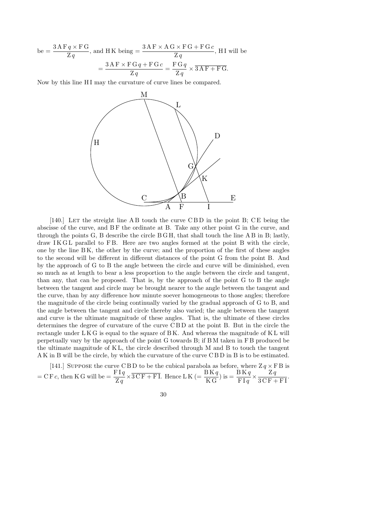be = 
$$
\frac{3 \text{ AF } q \times \text{FG}}{\text{Z } q}
$$
, and HK being = 
$$
\frac{3 \text{ AF} \times \text{AG} \times \text{FG} + \text{FG } c}{\text{Z } q}
$$
, HI will be  
= 
$$
\frac{3 \text{AF} \times \text{FG } q + \text{FG } c}{\text{Z } q} = \frac{\text{FG } q}{\text{Z } q} \times \overline{3 \text{ AF} + \text{FG}}.
$$

Now by this line HI may the curvature of curve lines be compared.



[140.] LET the streight line A B touch the curve C B D in the point B; C E being the abscisse of the curve, and BF the ordinate at B. Take any other point G in the curve, and through the points  $G$ ,  $B$  describe the circle  $B$   $H$ , that shall touch the line  $A$  $B$  in  $B$ ; lastly,  $d$ raw I $K$  G $L$  parallel to F $B$ . Here are two angles formed at the point  $B$  with the circle, one by the line B K, the other by the curve; and the proportion of the first of these angles to the second will be different in different distances of the point G from the point B. And by the approach of G to B the angle between the circle and curve will be diminished, even so much as at length to bear a less proportion to the angle between the circle and tangent, than any, that can be proposed. That is, by the approach of the point G to B the angle between the tangent and circle may be brought nearer to the angle between the tangent and the curve, than by any difference how minute soever homogeneous to those angles; therefore the magnitude of the circle being continually varied by the gradual approach of G to B, and the angle between the tangent and circle thereby also varied; the angle between the tangent and curve is the ultimate magnitude of these angles. That is, the ultimate of these circles determines the degree of curvature of the curve C B D at the point B. But in the circle the rectangle under L K G is equal to the square of B K. And whereas the magnitude of K L will perpetually vary by the approach of the point G towards B; if B M taken in F B produced be the ultimate magnitude of K L, the circle described through M and B to touch the tangent A K in B will be the circle, by which the curvature of the curve C B D in B is to be estimated.

[141.] SUPPOSE the curve C B D to be the cubical parabola as before, where  $Z q \times F B$  is  $=$  C F c, then K G will be  $=$   $\frac{F I q}{Z}$  $\mathrm{Z}\,q$  $\times \overline{3 \, \text{CF} + \text{FI}}$ . Hence L K (=  $\frac{\text{BK} q}{\text{KG}}$ ) is =  $\frac{\text{BK} q}{\text{FI} q}$  $\times \frac{Zq}{Z}$  $\frac{2q}{3 C F + F I}.$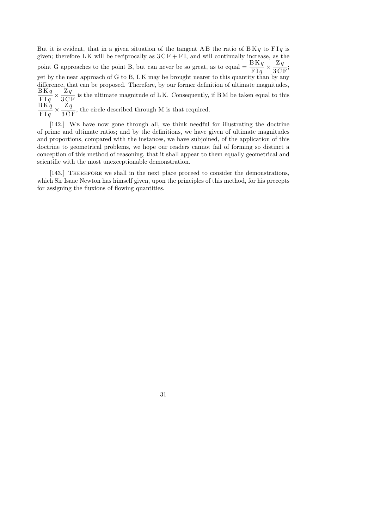But it is evident, that in a given situation of the tangent A B the ratio of  $BK q$  to  $FI q$  is given; therefore LK will be reciprocally as  $3CF + FI$ , and will continually increase, as the point G approaches to the point B, but can never be so great, as to equal  $=\frac{BKq}{BLR}$  $_{\rm F1q}$  $\times \frac{Zq}{Z}$  $\frac{24}{3 \text{CF}}$ yet by the near approach of G to B, L K may be brought nearer to this quantity than by any difference, that can be proposed. Therefore, by our former definition of ultimate magnitudes,  $\operatorname{B}$   $\operatorname{K}$   $q$  $_{\rm F I$   $q$  $\times \frac{Zq}{\sqrt{2}}$  $\frac{1}{3}$  C F is the ultimate magnitude of L K. Consequently, if B M be taken equal to this  $\operatorname{B}$   $\operatorname{K}$   $q$  $_{\rm F I$   $q$  $\times \frac{Zq}{\sqrt{2}}$  $\frac{1}{3}$  C<sub>F</sub>, the circle described through M is that required.

[142.] We have now gone through all, we think needful for illustrating the doctrine of prime and ultimate ratios; and by the definitions, we have given of ultimate magnitudes and proportions, compared with the instances, we have subjoined, of the application of this doctrine to geometrical problems, we hope our readers cannot fail of forming so distinct a conception of this method of reasoning, that it shall appear to them equally geometrical and scientific with the most unexceptionable demonstration.

[143.] THEREFORE we shall in the next place proceed to consider the demonstrations, which Sir Isaac Newton has himself given, upon the principles of this method, for his precepts for assigning the fluxions of flowing quantities.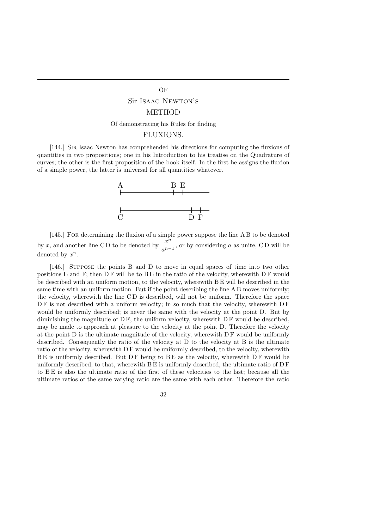#### OF

### Sir Isaac Newton's

#### METHOD

#### Of demonstrating his Rules for finding

#### FLUXIONS.

[144.] Sir Isaac Newton has comprehended his directions for computing the fluxions of quantities in two propositions; one in his Introduction to his treatise on the Quadrature of curves; the other is the first proposition of the book itself. In the first he assigns the fluxion of a simple power, the latter is universal for all quantities whatever.



[145.] For determining the fluxion of a simple power suppose the line A B to be denoted by x, and another line CD to be denoted by  $\frac{x^n}{x^n}$  $\frac{a}{a^{n-1}}$ , or by considering a as unite, CD will be denoted by  $x^n$ .

[146.] Suppose the points B and D to move in equal spaces of time into two other positions E and F; then  $DF$  will be to  $BE$  in the ratio of the velocity, wherewith  $DF$  would be described with an uniform motion, to the velocity, wherewith B E will be described in the same time with an uniform motion. But if the point describing the line A B moves uniformly; the velocity, wherewith the line C D is described, will not be uniform. Therefore the space DF is not described with a uniform velocity; in so much that the velocity, wherewith DF would be uniformly described; is never the same with the velocity at the point D. But by diminishing the magnitude of DF, the uniform velocity, wherewith DF would be described, may be made to approach at pleasure to the velocity at the point D. Therefore the velocity at the point D is the ultimate magnitude of the velocity, wherewith D F would be uniformly described. Consequently the ratio of the velocity at D to the velocity at B is the ultimate ratio of the velocity, wherewith DF would be uniformly described, to the velocity, wherewith  $BE$  is uniformly described. But  $DF$  being to  $BE$  as the velocity, wherewith  $DF$  would be uniformly described, to that, wherewith  $BE$  is uniformly described, the ultimate ratio of  $DF$ to B E is also the ultimate ratio of the first of these velocities to the last; because all the ultimate ratios of the same varying ratio are the same with each other. Therefore the ratio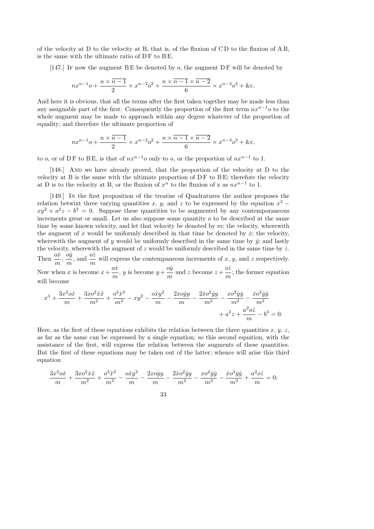of the velocity at D to the velocity at B, that is, of the fluxion of C D to the fluxion of A B, is the same with the ultimate ratio of  $DF$  to  $BE$ .

[147.] If now the augment  $BE$  be denoted by  $o$ , the augment  $DF$  will be denoted by

$$
nx^{n-1}o + \frac{n \times (n-1)}{2} \times x^{n-2}o^2 + \frac{n \times (n-1) \times (n-2)}{6} \times x^{n-3}o^3 + \&c.
$$

And here it is obvious, that all the terms after the first taken together may be made less than any assignable part of the first. Consequently the proportion of the first term  $nx^{n-1}$ o to the whole augment may be made to approach within any degree whatever of the proportion of equality; and therefore the ultimate proportion of

$$
nx^{n-1}o + \frac{n \times (n-1)}{2} \times x^{n-2}o^2 + \frac{n \times (n-1) \times (n-2)}{6} \times x^{n-3}o^3 + \&c.
$$

to *o*, or of DF to BE, is that of  $nx^{n-1}$  *o* only to *o*, or the proportion of  $nx^{n-1}$  to 1.

[148.] And we have already proved, that the proportion of the velocity at D to the velocity at B is the same with the ultimate proportion of  $DF$  to  $BE$ ; therefore the velocity at D is to the velocity at B, or the fluxion of  $x^n$  to the fluxion of x as  $nx^{n-1}$  to 1.

[149.] In the first proposition of the treatise of Quadratures the author proposes the relation betwixt three varying quantities x, y, and z to be expressed by the equation  $x^3$  –  $xy^2 + a^2z - b^3 = 0$ . Suppose these quantities to be augmented by any contemporaneous increments great or small. Let us also suppose some quantity  $\sigma$  to be described at the same time by some known velocity, and let that velocity be denoted by  $m$ ; the velocity, wherewith the augment of x would be uniformly described in that time be denoted by  $\dot{x}$ ; the velocity, wherewith the augment of y would be uniformly described in the same time by  $\dot{y}$ ; and lastly the velocity, wherewith the augment of  $z$  would be uniformly described in the same time by  $\dot{z}$ . Then  $\frac{o\dot{x}}{ }$ m ,  $o\dot{y}$ m , and  $\frac{o\dot{z}}{z}$ m will express the contempaneous increments of  $x, y$ , and  $z$  respectively. Now when x is become  $x +$  $o\dot{x}$ m , y is become  $y +$  $o\dot{y}$ m and z become  $z +$  $o\dot{z}$ m ; the former equation will become

$$
x^{3} + \frac{3x^{2}o\dot{x}}{m} + \frac{3xo^{2}\dot{x}\dot{x}}{m^{2}} + \frac{o^{3}\dot{x}^{3}}{m^{3}} - xy^{2} - \frac{o\dot{x}y^{2}}{m} - \frac{2xo\dot{y}y}{m} - \frac{\dot{x}o^{2}\dot{y}y}{m^{2}} - \frac{xo^{2}\dot{y}\dot{y}}{m^{2}} - \frac{\dot{x}o^{3}\dot{y}\dot{y}}{m^{3}} + a^{2}z + \frac{a^{2}o\dot{z}}{m} - b^{3} = 0.
$$

Here, as the first of these equations exhibits the relation between the three quantities  $x, y, z$ , as far as the same can be expressed by a single equation; so this second equation, with the assistance of the first, will express the relation between the augments of these quantities. But the first of these equations may be taken out of the latter; whence will arise this third equation

$$
\frac{3x^2\alpha\dot{x}}{m} + \frac{3x\alpha^2\dot{x}\dot{x}}{m^2} + \frac{\alpha^3\dot{x}^3}{m^3} - \frac{\alpha\dot{x}y^2}{m} - \frac{2x\alpha\dot{y}y}{m} - \frac{2\dot{x}\alpha^2\dot{y}y}{m^2} - \frac{x\alpha^2\dot{y}\dot{y}}{m^2} - \frac{\dot{x}\alpha^3\dot{y}\dot{y}}{m^3} + \frac{\alpha^2\alpha\dot{z}}{m} = 0;
$$

$$
33\,
$$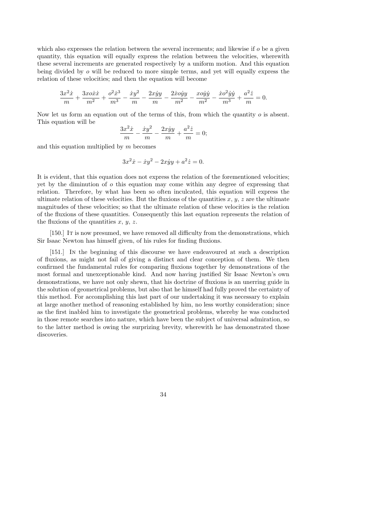which also expresses the relation between the several increments; and likewise if  $\sigma$  be a given quantity, this equation will equally express the relation between the velocities, wherewith these several increments are generated respectively by a uniform motion. And this equation being divided by o will be reduced to more simple terms, and yet will equally express the relation of these velocities; and then the equation will become

$$
\frac{3x^2\dot{x}}{m} + \frac{3x\dot{x}\dot{x}}{m^2} + \frac{\dot{\sigma}^2\dot{x}^3}{m^3} - \frac{\dot{x}\dot{y}^2}{m} - \frac{2x\dot{y}\dot{y}}{m} - \frac{2\dot{x}\dot{\sigma}\dot{y}\dot{y}}{m^2} - \frac{x\dot{\sigma}\dot{y}\dot{y}}{m^2} - \frac{\dot{x}\dot{\sigma}^2\dot{y}\dot{y}}{m^3} + \frac{a^2\dot{z}}{m} = 0.
$$

Now let us form an equation out of the terms of this, from which the quantity o is absent. This equation will be

$$
\frac{3x^2\dot{x}}{m} - \frac{\dot{x}y^2}{m} - \frac{2x\dot{y}y}{m} + \frac{a^2\dot{z}}{m} = 0;
$$

and this equation multiplied by  $m$  becomes

$$
3x^2\dot{x} - \dot{x}y^2 - 2x\dot{y}y + a^2\dot{z} = 0.
$$

It is evident, that this equation does not express the relation of the forementioned velocities; yet by the diminution of o this equation may come within any degree of expressing that relation. Therefore, by what has been so often inculcated, this equation will express the ultimate relation of these velocities. But the fluxions of the quantities  $x, y, z$  are the ultimate magnitudes of these velocities; so that the ultimate relation of these velocities is the relation of the fluxions of these quantities. Consequently this last equation represents the relation of the fluxions of the quantities  $x, y, z$ .

[150.] It is now presumed, we have removed all difficulty from the demonstrations, which Sir Isaac Newton has himself given, of his rules for finding fluxions.

[151.] In the beginning of this discourse we have endeavoured at such a description of fluxions, as might not fail of giving a distinct and clear conception of them. We then confirmed the fundamental rules for comparing fluxions together by demonstrations of the most formal and unexceptionable kind. And now having justified Sir Isaac Newton's own demonstrations, we have not only shewn, that his doctrine of fluxions is an unerring guide in the solution of geometrical problems, but also that he himself had fully proved the certainty of this method. For accomplishing this last part of our undertaking it was necessary to explain at large another method of reasoning established by him, no less worthy consideration; since as the first inabled him to investigate the geometrical problems, whereby he was conducted in those remote searches into nature, which have been the subject of universal admiration, so to the latter method is owing the surprizing brevity, wherewith he has demonstrated those discoveries.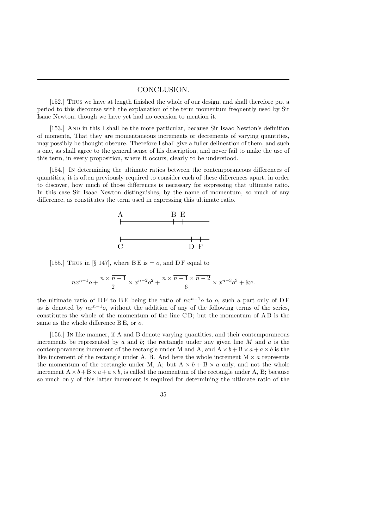#### CONCLUSION.

[152.] Thus we have at length finished the whole of our design, and shall therefore put a period to this discourse with the explanation of the term momentum frequently used by Sir Isaac Newton, though we have yet had no occasion to mention it.

[153.] And in this I shall be the more particular, because Sir Isaac Newton's definition of momenta, That they are momentaneous increments or decrements of varying quantities, may possibly be thought obscure. Therefore I shall give a fuller delineation of them, and such a one, as shall agree to the general sense of his description, and never fail to make the use of this term, in every proposition, where it occurs, clearly to be understood.

[154.] In determining the ultimate ratios between the contemporaneous differences of quantities, it is often previously required to consider each of these differences apart, in order to discover, how much of those differences is necessary for expressing that ultimate ratio. In this case Sir Isaac Newton distinguishes, by the name of momentum, so much of any difference, as constitutes the term used in expressing this ultimate ratio.



[155.] Thus in [§ 147], where BE is  $=$  o, and DF equal to

$$
nx^{n-1}o + \frac{n \times (n-1)}{2} \times x^{n-2}o^2 + \frac{n \times (n-1) \times (n-2)}{6} \times x^{n-3}o^3 + \&c.
$$

the ultimate ratio of DF to BE being the ratio of  $nx^{n-1}$ o to o, such a part only of DF as is denoted by  $nx^{n-1}$ o, without the addition of any of the following terms of the series, constitutes the whole of the momentum of the line C D; but the momentum of A B is the same as the whole difference B E, or  $o$ .

[156.] In like manner, if A and B denote varying quantities, and their contemporaneous increments be represented by a and b; the rectangle under any given line  $M$  and  $\alpha$  is the contemporaneous increment of the rectangle under M and A, and  $A \times b + B \times a + a \times b$  is the like increment of the rectangle under A, B. And here the whole increment  $M \times a$  represents the momentum of the rectangle under M, A; but  $A \times b + B \times a$  only, and not the whole increment  $A \times b + B \times a + a \times b$ , is called the momentum of the rectangle under A, B; because so much only of this latter increment is required for determining the ultimate ratio of the